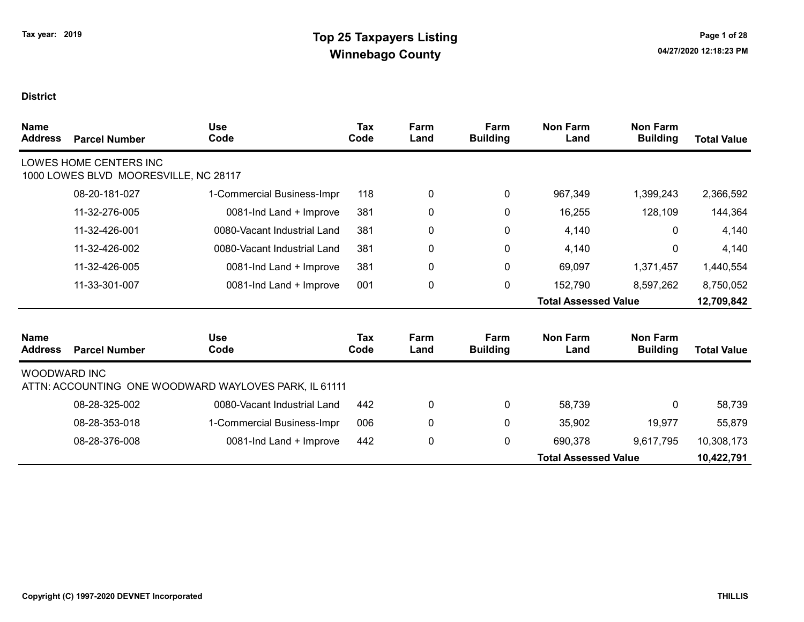| <b>Name</b><br><b>Address</b> | <b>Parcel Number</b>                                            | <b>Use</b><br>Code                                    | Tax<br>Code | Farm<br>Land | Farm<br><b>Building</b> | <b>Non Farm</b><br>Land     | <b>Non Farm</b><br><b>Building</b> | <b>Total Value</b> |
|-------------------------------|-----------------------------------------------------------------|-------------------------------------------------------|-------------|--------------|-------------------------|-----------------------------|------------------------------------|--------------------|
|                               | LOWES HOME CENTERS INC<br>1000 LOWES BLVD MOORESVILLE, NC 28117 |                                                       |             |              |                         |                             |                                    |                    |
|                               | 08-20-181-027                                                   | 1-Commercial Business-Impr                            | 118         | 0            | 0                       | 967,349                     | 1,399,243                          | 2,366,592          |
|                               | 11-32-276-005                                                   | 0081-Ind Land + Improve                               | 381         | 0            | 0                       | 16,255                      | 128,109                            | 144,364            |
|                               | 11-32-426-001                                                   | 0080-Vacant Industrial Land                           | 381         | 0            | 0                       | 4,140                       | $\mathbf{0}$                       | 4,140              |
|                               | 11-32-426-002                                                   | 0080-Vacant Industrial Land                           | 381         | $\mathbf 0$  | $\mathbf 0$             | 4,140                       | 0                                  | 4,140              |
|                               | 11-32-426-005                                                   | 0081-Ind Land + Improve                               | 381         | 0            | $\pmb{0}$               | 69,097                      | 1,371,457                          | 1,440,554          |
|                               | 11-33-301-007                                                   | 0081-Ind Land + Improve                               | 001         | 0            | $\mathbf 0$             | 152,790                     | 8,597,262                          | 8,750,052          |
|                               |                                                                 |                                                       |             |              |                         | <b>Total Assessed Value</b> |                                    | 12,709,842         |
| <b>Name</b><br><b>Address</b> | <b>Parcel Number</b>                                            | <b>Use</b><br>Code                                    | Tax<br>Code | Farm<br>Land | Farm<br><b>Building</b> | <b>Non Farm</b><br>Land     | <b>Non Farm</b><br><b>Building</b> | <b>Total Value</b> |
| <b>WOODWARD INC</b>           |                                                                 | ATTN: ACCOUNTING ONE WOODWARD WAYLOVES PARK, IL 61111 |             |              |                         |                             |                                    |                    |
|                               | 08-28-325-002                                                   | 0080-Vacant Industrial Land                           | 442         | 0            | $\mathbf 0$             | 58,739                      | 0                                  | 58,739             |
|                               | 08-28-353-018                                                   | 1-Commercial Business-Impr                            | 006         | 0            | $\mathbf 0$             | 35,902                      | 19,977                             | 55,879             |
|                               | 08-28-376-008                                                   | 0081-Ind Land + Improve                               | 442         | 0            | $\pmb{0}$               | 690,378                     | 9,617,795                          | 10,308,173         |
|                               |                                                                 |                                                       |             |              |                         | <b>Total Assessed Value</b> |                                    | 10,422,791         |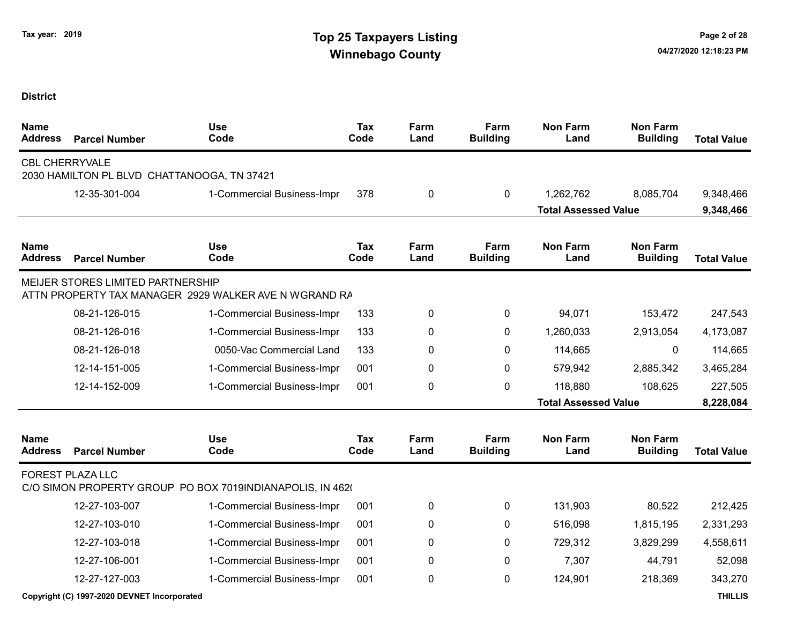| <b>Name</b><br><b>Address</b> | <b>Parcel Number</b>                                                 | <b>Use</b><br>Code                                        | <b>Tax</b><br>Code | Farm<br>Land | Farm<br><b>Building</b> | <b>Non Farm</b><br>Land     | <b>Non Farm</b><br><b>Building</b> | <b>Total Value</b> |
|-------------------------------|----------------------------------------------------------------------|-----------------------------------------------------------|--------------------|--------------|-------------------------|-----------------------------|------------------------------------|--------------------|
|                               | <b>CBL CHERRYVALE</b><br>2030 HAMILTON PL BLVD CHATTANOOGA, TN 37421 |                                                           |                    |              |                         |                             |                                    |                    |
|                               | 12-35-301-004                                                        | 1-Commercial Business-Impr                                | 378                | 0            | 0                       | 1,262,762                   | 8,085,704                          | 9,348,466          |
|                               |                                                                      |                                                           |                    |              |                         | <b>Total Assessed Value</b> |                                    | 9,348,466          |
| <b>Name</b><br><b>Address</b> | <b>Parcel Number</b>                                                 | <b>Use</b><br>Code                                        | <b>Tax</b><br>Code | Farm<br>Land | Farm<br><b>Building</b> | <b>Non Farm</b><br>Land     | <b>Non Farm</b><br><b>Building</b> | <b>Total Value</b> |
|                               | <b>MEIJER STORES LIMITED PARTNERSHIP</b>                             | ATTN PROPERTY TAX MANAGER 2929 WALKER AVE N WGRAND RA     |                    |              |                         |                             |                                    |                    |
|                               | 08-21-126-015                                                        | 1-Commercial Business-Impr                                | 133                | 0            | 0                       | 94,071                      | 153,472                            | 247,543            |
|                               | 08-21-126-016                                                        | 1-Commercial Business-Impr                                | 133                | 0            | $\mathbf{0}$            | 1,260,033                   | 2,913,054                          | 4,173,087          |
|                               | 08-21-126-018                                                        | 0050-Vac Commercial Land                                  | 133                | 0            | 0                       | 114,665                     | 0                                  | 114,665            |
|                               | 12-14-151-005                                                        | 1-Commercial Business-Impr                                | 001                | 0            | $\mathbf{0}$            | 579,942                     | 2,885,342                          | 3,465,284          |
|                               | 12-14-152-009                                                        | 1-Commercial Business-Impr                                | 001                | 0            | 0                       | 118,880                     | 108,625                            | 227,505            |
|                               |                                                                      |                                                           |                    |              |                         | <b>Total Assessed Value</b> |                                    | 8,228,084          |
| <b>Name</b><br><b>Address</b> | <b>Parcel Number</b>                                                 | <b>Use</b><br>Code                                        | <b>Tax</b><br>Code | Farm<br>Land | Farm<br><b>Building</b> | <b>Non Farm</b><br>Land     | <b>Non Farm</b><br><b>Building</b> | <b>Total Value</b> |
|                               | <b>FOREST PLAZA LLC</b>                                              | C/O SIMON PROPERTY GROUP PO BOX 7019INDIANAPOLIS, IN 4620 |                    |              |                         |                             |                                    |                    |
|                               | 12-27-103-007                                                        | 1-Commercial Business-Impr                                | 001                | 0            | 0                       | 131,903                     | 80,522                             | 212,425            |
|                               | 12-27-103-010                                                        | 1-Commercial Business-Impr                                | 001                | 0            | 0                       | 516,098                     | 1,815,195                          | 2,331,293          |
|                               | 12-27-103-018                                                        | 1-Commercial Business-Impr                                | 001                | 0            | 0                       | 729,312                     | 3,829,299                          | 4,558,611          |
|                               | 12-27-106-001                                                        | 1-Commercial Business-Impr                                | 001                | 0            | $\mathbf{0}$            | 7,307                       | 44,791                             | 52,098             |
|                               | 12-27-127-003                                                        | 1-Commercial Business-Impr                                | 001                | 0            | 0                       | 124,901                     | 218,369                            | 343,270            |
|                               | Copyright (C) 1997-2020 DEVNET Incorporated                          |                                                           |                    |              |                         |                             |                                    | <b>THILLIS</b>     |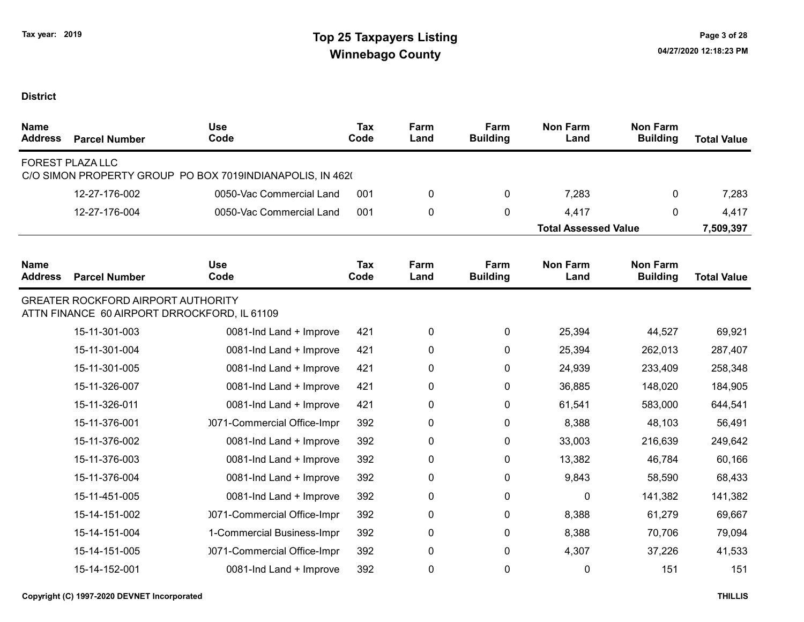| <b>Name</b><br><b>Address</b> | <b>Parcel Number</b>                                                                      | <b>Use</b><br>Code                                        | <b>Tax</b><br>Code | Farm<br>Land | Farm<br><b>Building</b> | <b>Non Farm</b><br>Land     | <b>Non Farm</b><br><b>Building</b> | <b>Total Value</b> |
|-------------------------------|-------------------------------------------------------------------------------------------|-----------------------------------------------------------|--------------------|--------------|-------------------------|-----------------------------|------------------------------------|--------------------|
|                               | FOREST PLAZA LLC                                                                          | C/O SIMON PROPERTY GROUP PO BOX 7019INDIANAPOLIS, IN 4620 |                    |              |                         |                             |                                    |                    |
|                               | 12-27-176-002                                                                             | 0050-Vac Commercial Land                                  | 001                | 0            | 0                       | 7,283                       | 0                                  | 7,283              |
|                               | 12-27-176-004                                                                             | 0050-Vac Commercial Land                                  | 001                | 0            | 0                       | 4,417                       | $\mathbf{0}$                       | 4,417              |
|                               |                                                                                           |                                                           |                    |              |                         | <b>Total Assessed Value</b> |                                    | 7,509,397          |
| <b>Name</b><br><b>Address</b> | <b>Parcel Number</b>                                                                      | <b>Use</b><br>Code                                        | Tax<br>Code        | Farm<br>Land | Farm<br><b>Building</b> | <b>Non Farm</b><br>Land     | <b>Non Farm</b><br><b>Building</b> | <b>Total Value</b> |
|                               | <b>GREATER ROCKFORD AIRPORT AUTHORITY</b><br>ATTN FINANCE 60 AIRPORT DRROCKFORD, IL 61109 |                                                           |                    |              |                         |                             |                                    |                    |
|                               | 15-11-301-003                                                                             | 0081-Ind Land + Improve                                   | 421                | 0            | $\mathbf 0$             | 25,394                      | 44,527                             | 69,921             |
|                               | 15-11-301-004                                                                             | 0081-Ind Land + Improve                                   | 421                | 0            | 0                       | 25,394                      | 262,013                            | 287,407            |
|                               | 15-11-301-005                                                                             | 0081-Ind Land + Improve                                   | 421                | 0            | 0                       | 24,939                      | 233,409                            | 258,348            |
|                               | 15-11-326-007                                                                             | 0081-Ind Land + Improve                                   | 421                | 0            | 0                       | 36,885                      | 148,020                            | 184,905            |
|                               | 15-11-326-011                                                                             | 0081-Ind Land + Improve                                   | 421                | 0            | 0                       | 61,541                      | 583,000                            | 644,541            |
|                               | 15-11-376-001                                                                             | 0071-Commercial Office-Impr                               | 392                | 0            | 0                       | 8,388                       | 48,103                             | 56,491             |
|                               | 15-11-376-002                                                                             | 0081-Ind Land + Improve                                   | 392                | 0            | 0                       | 33,003                      | 216,639                            | 249,642            |
|                               | 15-11-376-003                                                                             | 0081-Ind Land + Improve                                   | 392                | 0            | 0                       | 13,382                      | 46,784                             | 60,166             |
|                               | 15-11-376-004                                                                             | 0081-Ind Land + Improve                                   | 392                | 0            | 0                       | 9,843                       | 58,590                             | 68,433             |
|                               | 15-11-451-005                                                                             | 0081-Ind Land + Improve                                   | 392                | 0            | 0                       | 0                           | 141,382                            | 141,382            |
|                               | 15-14-151-002                                                                             | 0071-Commercial Office-Impr                               | 392                | 0            | 0                       | 8,388                       | 61,279                             | 69,667             |
|                               | 15-14-151-004                                                                             | 1-Commercial Business-Impr                                | 392                | 0            | 0                       | 8,388                       | 70,706                             | 79,094             |
|                               | 15-14-151-005                                                                             | 0071-Commercial Office-Impr                               | 392                | 0            | 0                       | 4,307                       | 37,226                             | 41,533             |
|                               | 15-14-152-001                                                                             | 0081-Ind Land + Improve                                   | 392                | 0            | $\Omega$                | 0                           | 151                                | 151                |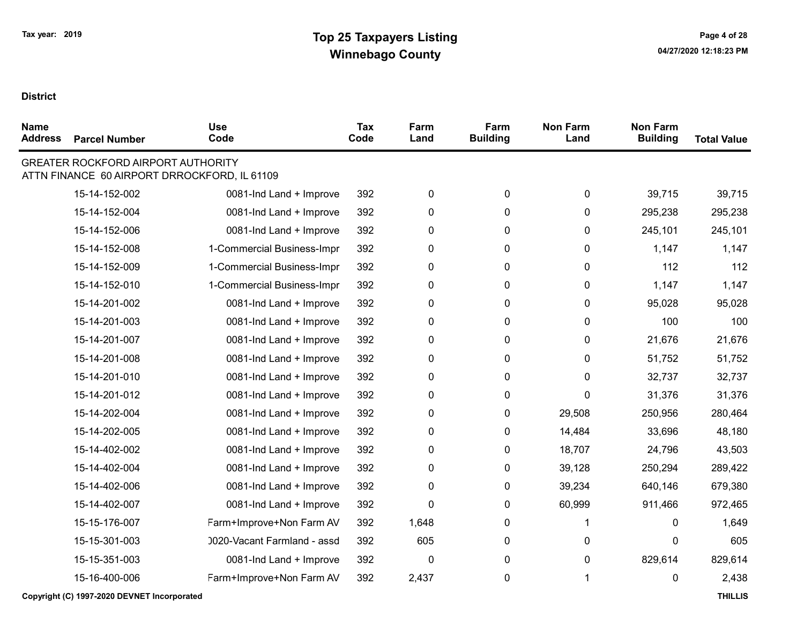| <b>Name</b><br><b>Address</b> | <b>Parcel Number</b>                      | <b>Use</b><br>Code                           | Tax<br>Code | Farm<br>Land | Farm<br><b>Building</b> | <b>Non Farm</b><br>Land | <b>Non Farm</b><br><b>Building</b> | <b>Total Value</b> |
|-------------------------------|-------------------------------------------|----------------------------------------------|-------------|--------------|-------------------------|-------------------------|------------------------------------|--------------------|
|                               | <b>GREATER ROCKFORD AIRPORT AUTHORITY</b> | ATTN FINANCE 60 AIRPORT DRROCKFORD, IL 61109 |             |              |                         |                         |                                    |                    |
|                               | 15-14-152-002                             | 0081-Ind Land + Improve                      | 392         | 0            | 0                       | 0                       | 39,715                             | 39,715             |
|                               | 15-14-152-004                             | 0081-Ind Land + Improve                      | 392         | $\pmb{0}$    | $\mathbf 0$             | 0                       | 295,238                            | 295,238            |
|                               | 15-14-152-006                             | 0081-Ind Land + Improve                      | 392         | $\pmb{0}$    | 0                       | 0                       | 245,101                            | 245,101            |
|                               | 15-14-152-008                             | 1-Commercial Business-Impr                   | 392         | 0            | 0                       | 0                       | 1,147                              | 1,147              |
|                               | 15-14-152-009                             | 1-Commercial Business-Impr                   | 392         | 0            | 0                       | 0                       | 112                                | 112                |
|                               | 15-14-152-010                             | 1-Commercial Business-Impr                   | 392         | 0            | 0                       | 0                       | 1,147                              | 1,147              |
|                               | 15-14-201-002                             | 0081-Ind Land + Improve                      | 392         | $\pmb{0}$    | 0                       | 0                       | 95,028                             | 95,028             |
|                               | 15-14-201-003                             | 0081-Ind Land + Improve                      | 392         | $\pmb{0}$    | 0                       | 0                       | 100                                | 100                |
|                               | 15-14-201-007                             | 0081-Ind Land + Improve                      | 392         | $\pmb{0}$    | 0                       | 0                       | 21,676                             | 21,676             |
|                               | 15-14-201-008                             | 0081-Ind Land + Improve                      | 392         | $\pmb{0}$    | 0                       | 0                       | 51,752                             | 51,752             |
|                               | 15-14-201-010                             | 0081-Ind Land + Improve                      | 392         | $\pmb{0}$    | 0                       | 0                       | 32,737                             | 32,737             |
|                               | 15-14-201-012                             | 0081-Ind Land + Improve                      | 392         | $\pmb{0}$    | 0                       | 0                       | 31,376                             | 31,376             |
|                               | 15-14-202-004                             | 0081-Ind Land + Improve                      | 392         | $\pmb{0}$    | 0                       | 29,508                  | 250,956                            | 280,464            |
|                               | 15-14-202-005                             | 0081-Ind Land + Improve                      | 392         | $\pmb{0}$    | 0                       | 14,484                  | 33,696                             | 48,180             |
|                               | 15-14-402-002                             | 0081-Ind Land + Improve                      | 392         | $\pmb{0}$    | 0                       | 18,707                  | 24,796                             | 43,503             |
|                               | 15-14-402-004                             | 0081-Ind Land + Improve                      | 392         | 0            | 0                       | 39,128                  | 250,294                            | 289,422            |
|                               | 15-14-402-006                             | 0081-Ind Land + Improve                      | 392         | $\pmb{0}$    | 0                       | 39,234                  | 640,146                            | 679,380            |
|                               | 15-14-402-007                             | 0081-Ind Land + Improve                      | 392         | 0            | 0                       | 60,999                  | 911,466                            | 972,465            |
|                               | 15-15-176-007                             | Farm+Improve+Non Farm AV                     | 392         | 1,648        | 0                       | 1                       | 0                                  | 1,649              |
|                               | 15-15-301-003                             | 0020-Vacant Farmland - assd                  | 392         | 605          | 0                       | 0                       | 0                                  | 605                |
|                               | 15-15-351-003                             | 0081-Ind Land + Improve                      | 392         | $\pmb{0}$    | 0                       | 0                       | 829,614                            | 829,614            |
|                               | 15-16-400-006                             | Farm+Improve+Non Farm AV                     | 392         | 2,437        | 0                       | 1                       | 0                                  | 2,438              |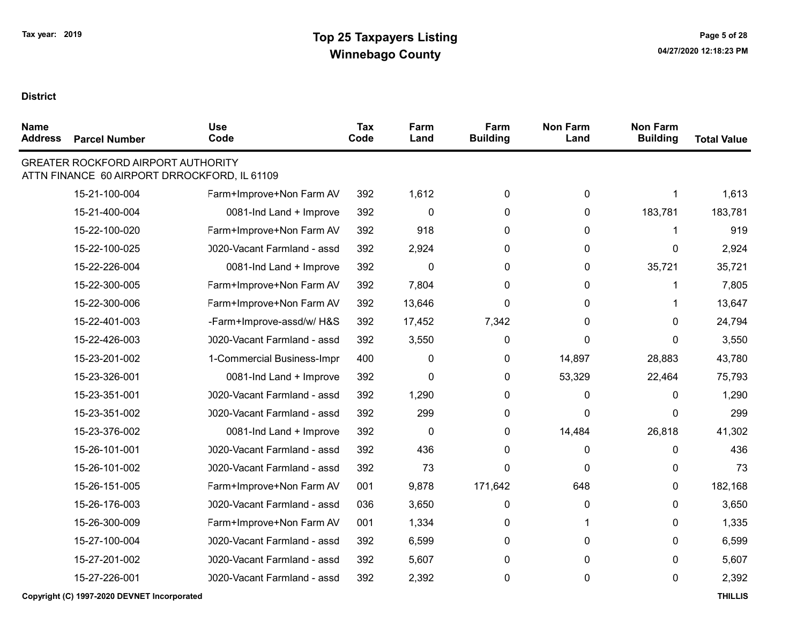| <b>Name</b><br><b>Address</b> | <b>Parcel Number</b>                      | <b>Use</b><br>Code                           | <b>Tax</b><br>Code | Farm<br>Land | Farm<br><b>Building</b> | <b>Non Farm</b><br>Land | <b>Non Farm</b><br><b>Building</b> | <b>Total Value</b> |
|-------------------------------|-------------------------------------------|----------------------------------------------|--------------------|--------------|-------------------------|-------------------------|------------------------------------|--------------------|
|                               | <b>GREATER ROCKFORD AIRPORT AUTHORITY</b> | ATTN FINANCE 60 AIRPORT DRROCKFORD, IL 61109 |                    |              |                         |                         |                                    |                    |
|                               | 15-21-100-004                             | Farm+Improve+Non Farm AV                     | 392                | 1,612        | 0                       | 0                       | 1                                  | 1,613              |
|                               | 15-21-400-004                             | 0081-Ind Land + Improve                      | 392                | 0            | 0                       | 0                       | 183,781                            | 183,781            |
|                               | 15-22-100-020                             | Farm+Improve+Non Farm AV                     | 392                | 918          | 0                       | 0                       | 1                                  | 919                |
|                               | 15-22-100-025                             | 0020-Vacant Farmland - assd                  | 392                | 2,924        | 0                       | 0                       | 0                                  | 2,924              |
|                               | 15-22-226-004                             | 0081-Ind Land + Improve                      | 392                | $\Omega$     | 0                       | 0                       | 35,721                             | 35,721             |
|                               | 15-22-300-005                             | Farm+Improve+Non Farm AV                     | 392                | 7,804        | 0                       | 0                       | 1                                  | 7,805              |
|                               | 15-22-300-006                             | Farm+Improve+Non Farm AV                     | 392                | 13,646       | 0                       | 0                       | 1                                  | 13,647             |
|                               | 15-22-401-003                             | -Farm+Improve-assd/w/ H&S                    | 392                | 17,452       | 7,342                   | 0                       | $\Omega$                           | 24,794             |
|                               | 15-22-426-003                             | 0020-Vacant Farmland - assd                  | 392                | 3,550        | 0                       | 0                       | $\Omega$                           | 3,550              |
|                               | 15-23-201-002                             | 1-Commercial Business-Impr                   | 400                | 0            | 0                       | 14,897                  | 28,883                             | 43,780             |
|                               | 15-23-326-001                             | 0081-Ind Land + Improve                      | 392                | $\Omega$     | 0                       | 53,329                  | 22,464                             | 75,793             |
|                               | 15-23-351-001                             | 0020-Vacant Farmland - assd                  | 392                | 1,290        | 0                       | 0                       | 0                                  | 1,290              |
|                               | 15-23-351-002                             | 0020-Vacant Farmland - assd                  | 392                | 299          | 0                       | 0                       | 0                                  | 299                |
|                               | 15-23-376-002                             | 0081-Ind Land + Improve                      | 392                | $\mathbf 0$  | 0                       | 14,484                  | 26,818                             | 41,302             |
|                               | 15-26-101-001                             | 0020-Vacant Farmland - assd                  | 392                | 436          | 0                       | 0                       | 0                                  | 436                |
|                               | 15-26-101-002                             | 0020-Vacant Farmland - assd                  | 392                | 73           | 0                       | 0                       | 0                                  | 73                 |
|                               | 15-26-151-005                             | Farm+Improve+Non Farm AV                     | 001                | 9,878        | 171,642                 | 648                     | 0                                  | 182,168            |
|                               | 15-26-176-003                             | 0020-Vacant Farmland - assd                  | 036                | 3,650        | 0                       | 0                       | 0                                  | 3,650              |
|                               | 15-26-300-009                             | Farm+Improve+Non Farm AV                     | 001                | 1,334        | 0                       | 1                       | 0                                  | 1,335              |
|                               | 15-27-100-004                             | 0020-Vacant Farmland - assd                  | 392                | 6,599        | 0                       | 0                       | 0                                  | 6,599              |
|                               | 15-27-201-002                             | 0020-Vacant Farmland - assd                  | 392                | 5,607        | $\mathbf{0}$            | 0                       | 0                                  | 5,607              |
|                               | 15-27-226-001                             | 0020-Vacant Farmland - assd                  | 392                | 2,392        | 0                       | 0                       | 0                                  | 2,392              |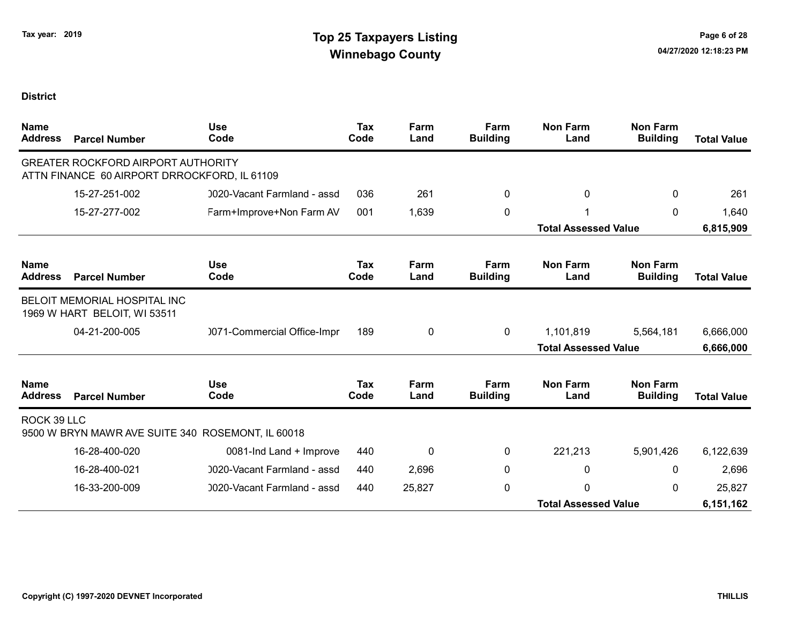| <b>Name</b><br><b>Address</b> | <b>Parcel Number</b>                                                                      | <b>Use</b><br>Code          | <b>Tax</b><br>Code | Farm<br>Land | Farm<br><b>Building</b> | <b>Non Farm</b><br>Land     | <b>Non Farm</b><br><b>Building</b> | <b>Total Value</b> |
|-------------------------------|-------------------------------------------------------------------------------------------|-----------------------------|--------------------|--------------|-------------------------|-----------------------------|------------------------------------|--------------------|
|                               | <b>GREATER ROCKFORD AIRPORT AUTHORITY</b><br>ATTN FINANCE 60 AIRPORT DRROCKFORD, IL 61109 |                             |                    |              |                         |                             |                                    |                    |
|                               | 15-27-251-002                                                                             | 0020-Vacant Farmland - assd | 036                | 261          | 0                       | 0                           | 0                                  | 261                |
|                               | 15-27-277-002                                                                             | Farm+Improve+Non Farm AV    | 001                | 1,639        | 0                       |                             | 0                                  | 1,640              |
|                               |                                                                                           |                             |                    |              |                         | <b>Total Assessed Value</b> |                                    | 6,815,909          |
| <b>Name</b><br><b>Address</b> | <b>Parcel Number</b>                                                                      | <b>Use</b><br>Code          | Tax<br>Code        | Farm<br>Land | Farm<br><b>Building</b> | <b>Non Farm</b><br>Land     | <b>Non Farm</b><br><b>Building</b> | <b>Total Value</b> |
|                               | <b>BELOIT MEMORIAL HOSPITAL INC</b><br>1969 W HART BELOIT, WI 53511                       |                             |                    |              |                         |                             |                                    |                    |
|                               | 04-21-200-005                                                                             | 0071-Commercial Office-Impr | 189                | 0            | $\mathbf 0$             | 1,101,819                   | 5,564,181                          | 6,666,000          |
|                               |                                                                                           |                             |                    |              |                         | <b>Total Assessed Value</b> | 6,666,000                          |                    |
| <b>Name</b><br><b>Address</b> | <b>Parcel Number</b>                                                                      | <b>Use</b><br>Code          | Tax<br>Code        | Farm<br>Land | Farm<br><b>Building</b> | <b>Non Farm</b><br>Land     | <b>Non Farm</b><br><b>Building</b> | <b>Total Value</b> |
| ROCK 39 LLC                   | 9500 W BRYN MAWR AVE SUITE 340 ROSEMONT, IL 60018                                         |                             |                    |              |                         |                             |                                    |                    |
|                               | 16-28-400-020                                                                             | 0081-Ind Land + Improve     | 440                | 0            | 0                       | 221,213                     | 5,901,426                          | 6,122,639          |
|                               | 16-28-400-021                                                                             | 0020-Vacant Farmland - assd | 440                | 2,696        | 0                       | 0                           | 0                                  | 2,696              |
|                               | 16-33-200-009                                                                             | 0020-Vacant Farmland - assd | 440                | 25,827       | 0                       | $\Omega$                    | 0                                  | 25,827             |
|                               |                                                                                           |                             |                    |              |                         | <b>Total Assessed Value</b> |                                    | 6,151,162          |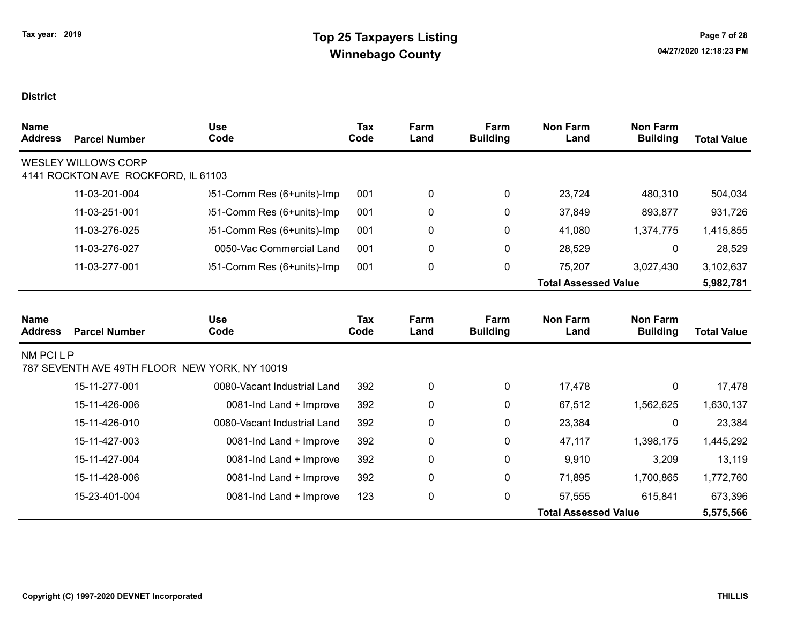| <b>Name</b><br><b>Address</b> | <b>Parcel Number</b>                                              | <b>Use</b><br>Code                            | <b>Tax</b><br>Code | Farm<br>Land | Farm<br><b>Building</b> | <b>Non Farm</b><br>Land     | <b>Non Farm</b><br><b>Building</b> | <b>Total Value</b> |
|-------------------------------|-------------------------------------------------------------------|-----------------------------------------------|--------------------|--------------|-------------------------|-----------------------------|------------------------------------|--------------------|
|                               | <b>WESLEY WILLOWS CORP</b><br>4141 ROCKTON AVE ROCKFORD, IL 61103 |                                               |                    |              |                         |                             |                                    |                    |
|                               | 11-03-201-004                                                     | )51-Comm Res (6+units)-Imp                    | 001                | 0            | 0                       | 23,724                      | 480,310                            | 504,034            |
|                               | 11-03-251-001                                                     | )51-Comm Res (6+units)-Imp                    | 001                | 0            | 0                       | 37,849                      | 893,877                            | 931,726            |
|                               | 11-03-276-025                                                     | )51-Comm Res (6+units)-Imp                    | 001                | 0            | 0                       | 41,080                      | 1,374,775                          | 1,415,855          |
|                               | 11-03-276-027                                                     | 0050-Vac Commercial Land                      | 001                | 0            | $\pmb{0}$               | 28,529                      | 0                                  | 28,529             |
|                               | 11-03-277-001                                                     | )51-Comm Res (6+units)-Imp                    | 001                | 0            | 0                       | 75,207                      | 3,027,430                          | 3,102,637          |
|                               |                                                                   |                                               |                    |              |                         | <b>Total Assessed Value</b> |                                    | 5,982,781          |
| <b>Name</b><br><b>Address</b> | <b>Parcel Number</b>                                              | <b>Use</b><br>Code                            | <b>Tax</b><br>Code | Farm<br>Land | Farm<br><b>Building</b> | <b>Non Farm</b><br>Land     | <b>Non Farm</b><br><b>Building</b> | <b>Total Value</b> |
| NM PCI L P                    |                                                                   | 787 SEVENTH AVE 49TH FLOOR NEW YORK, NY 10019 |                    |              |                         |                             |                                    |                    |
|                               | 15-11-277-001                                                     | 0080-Vacant Industrial Land                   | 392                | 0            | 0                       | 17,478                      | 0                                  | 17,478             |
|                               | 15-11-426-006                                                     | 0081-Ind Land + Improve                       | 392                | 0            | 0                       | 67,512                      | 1,562,625                          | 1,630,137          |
|                               | 15-11-426-010                                                     | 0080-Vacant Industrial Land                   | 392                | 0            | 0                       | 23,384                      | 0                                  | 23,384             |
|                               | 15-11-427-003                                                     | 0081-Ind Land + Improve                       | 392                | 0            | 0                       | 47,117                      | 1,398,175                          | 1,445,292          |
|                               | 15-11-427-004                                                     | 0081-Ind Land + Improve                       | 392                | 0            | 0                       | 9,910                       | 3,209                              | 13,119             |
|                               | 15-11-428-006                                                     | 0081-Ind Land + Improve                       | 392                | 0            | $\mathbf 0$             | 71,895                      | 1,700,865                          | 1,772,760          |
|                               | 15-23-401-004                                                     | 0081-Ind Land + Improve                       | 123                | 0            | 0                       | 57,555                      | 615,841                            | 673,396            |
|                               |                                                                   |                                               |                    |              |                         | <b>Total Assessed Value</b> |                                    | 5,575,566          |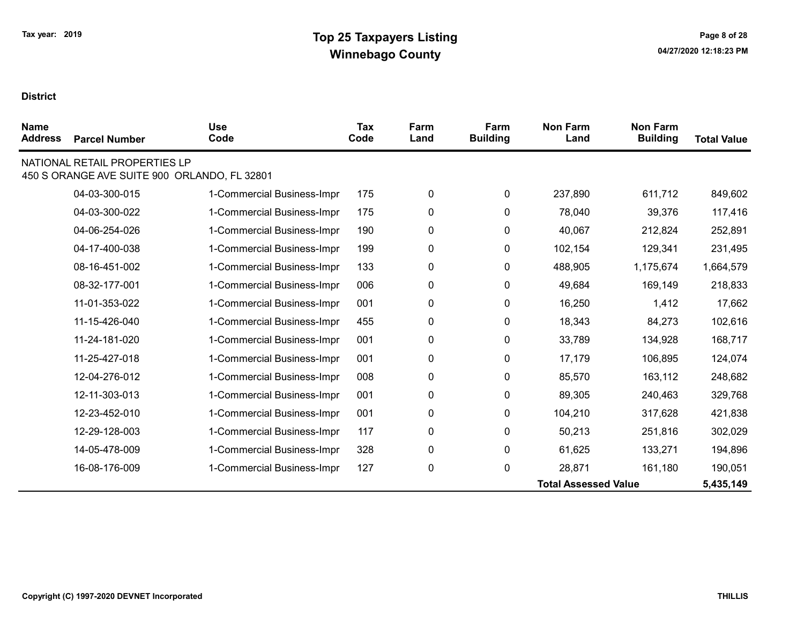| <b>Name</b><br><b>Address</b> | <b>Parcel Number</b>                                                          | <b>Use</b><br>Code         | Tax<br>Code | Farm<br>Land | Farm<br><b>Building</b> | <b>Non Farm</b><br>Land     | <b>Non Farm</b><br><b>Building</b> | <b>Total Value</b> |
|-------------------------------|-------------------------------------------------------------------------------|----------------------------|-------------|--------------|-------------------------|-----------------------------|------------------------------------|--------------------|
|                               | NATIONAL RETAIL PROPERTIES LP<br>450 S ORANGE AVE SUITE 900 ORLANDO, FL 32801 |                            |             |              |                         |                             |                                    |                    |
|                               | 04-03-300-015                                                                 | 1-Commercial Business-Impr | 175         | 0            | 0                       | 237,890                     | 611,712                            | 849,602            |
|                               | 04-03-300-022                                                                 | 1-Commercial Business-Impr | 175         | 0            | 0                       | 78,040                      | 39,376                             | 117,416            |
|                               | 04-06-254-026                                                                 | 1-Commercial Business-Impr | 190         | 0            | 0                       | 40,067                      | 212,824                            | 252,891            |
|                               | 04-17-400-038                                                                 | 1-Commercial Business-Impr | 199         | 0            | 0                       | 102,154                     | 129,341                            | 231,495            |
|                               | 08-16-451-002                                                                 | 1-Commercial Business-Impr | 133         | 0            | 0                       | 488,905                     | 1,175,674                          | 1,664,579          |
|                               | 08-32-177-001                                                                 | 1-Commercial Business-Impr | 006         | 0            | 0                       | 49,684                      | 169,149                            | 218,833            |
|                               | 11-01-353-022                                                                 | 1-Commercial Business-Impr | 001         | 0            | 0                       | 16,250                      | 1,412                              | 17,662             |
|                               | 11-15-426-040                                                                 | 1-Commercial Business-Impr | 455         | 0            | 0                       | 18,343                      | 84,273                             | 102,616            |
|                               | 11-24-181-020                                                                 | 1-Commercial Business-Impr | 001         | 0            | 0                       | 33,789                      | 134,928                            | 168,717            |
|                               | 11-25-427-018                                                                 | 1-Commercial Business-Impr | 001         | 0            | 0                       | 17,179                      | 106,895                            | 124,074            |
|                               | 12-04-276-012                                                                 | 1-Commercial Business-Impr | 008         | 0            | 0                       | 85,570                      | 163,112                            | 248,682            |
|                               | 12-11-303-013                                                                 | 1-Commercial Business-Impr | 001         | 0            | 0                       | 89,305                      | 240,463                            | 329,768            |
|                               | 12-23-452-010                                                                 | 1-Commercial Business-Impr | 001         | 0            | 0                       | 104,210                     | 317,628                            | 421,838            |
|                               | 12-29-128-003                                                                 | 1-Commercial Business-Impr | 117         | 0            | 0                       | 50,213                      | 251,816                            | 302,029            |
|                               | 14-05-478-009                                                                 | 1-Commercial Business-Impr | 328         | 0            | 0                       | 61,625                      | 133,271                            | 194,896            |
|                               | 16-08-176-009                                                                 | 1-Commercial Business-Impr | 127         | 0            | 0                       | 28,871                      | 161,180                            | 190,051            |
|                               |                                                                               |                            |             |              |                         | <b>Total Assessed Value</b> |                                    | 5,435,149          |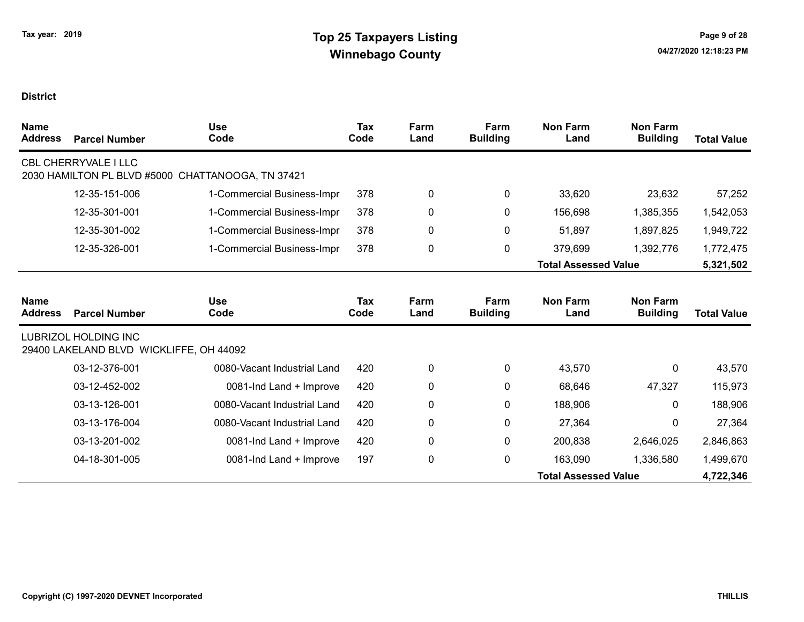| <b>Name</b><br><b>Address</b> | <b>Parcel Number</b>                                                   | <b>Use</b><br>Code          | <b>Tax</b><br>Code | Farm<br>Land | Farm<br><b>Building</b> | <b>Non Farm</b><br>Land     | <b>Non Farm</b><br><b>Building</b> | <b>Total Value</b> |
|-------------------------------|------------------------------------------------------------------------|-----------------------------|--------------------|--------------|-------------------------|-----------------------------|------------------------------------|--------------------|
|                               | CBL CHERRYVALE I LLC<br>2030 HAMILTON PL BLVD #5000                    | CHATTANOOGA, TN 37421       |                    |              |                         |                             |                                    |                    |
|                               | 12-35-151-006                                                          | 1-Commercial Business-Impr  | 378                | 0            | 0                       | 33,620                      | 23,632                             | 57,252             |
|                               | 12-35-301-001                                                          | 1-Commercial Business-Impr  | 378                | 0            | $\mathbf{0}$            | 156,698                     | 1,385,355                          | 1,542,053          |
|                               | 12-35-301-002                                                          | 1-Commercial Business-Impr  | 378                | 0            | 0                       | 51,897                      | 1,897,825                          | 1,949,722          |
|                               | 12-35-326-001                                                          | 1-Commercial Business-Impr  | 378                | 0            | 0                       | 379,699                     | 1,392,776                          | 1,772,475          |
|                               |                                                                        |                             |                    |              |                         | <b>Total Assessed Value</b> |                                    | 5,321,502          |
| <b>Name</b><br><b>Address</b> | <b>Parcel Number</b>                                                   | <b>Use</b><br>Code          | Tax<br>Code        | Farm<br>Land | Farm<br><b>Building</b> | <b>Non Farm</b><br>Land     | <b>Non Farm</b><br><b>Building</b> | <b>Total Value</b> |
|                               | <b>LUBRIZOL HOLDING INC</b><br>29400 LAKELAND BLVD WICKLIFFE, OH 44092 |                             |                    |              |                         |                             |                                    |                    |
|                               | 03-12-376-001                                                          | 0080-Vacant Industrial Land | 420                | 0            | $\mathbf{0}$            | 43,570                      | $\mathbf{0}$                       | 43,570             |
|                               | 03-12-452-002                                                          | 0081-Ind Land + Improve     | 420                | 0            | $\mathbf{0}$            | 68,646                      | 47,327                             | 115,973            |
|                               | 03-13-126-001                                                          | 0080-Vacant Industrial Land | 420                | 0            | 0                       | 188,906                     | $\mathbf{0}$                       | 188,906            |
|                               | 03-13-176-004                                                          | 0080-Vacant Industrial Land | 420                | 0            | 0                       | 27,364                      | $\Omega$                           | 27,364             |
|                               | 03-13-201-002                                                          | 0081-Ind Land + Improve     | 420                | 0            | 0                       | 200,838                     | 2,646,025                          | 2,846,863          |
|                               | 04-18-301-005                                                          | 0081-Ind Land + Improve     | 197                | 0            | $\mathbf 0$             | 163,090                     | 1,336,580                          | 1,499,670          |
|                               |                                                                        |                             |                    |              |                         | <b>Total Assessed Value</b> |                                    | 4,722,346          |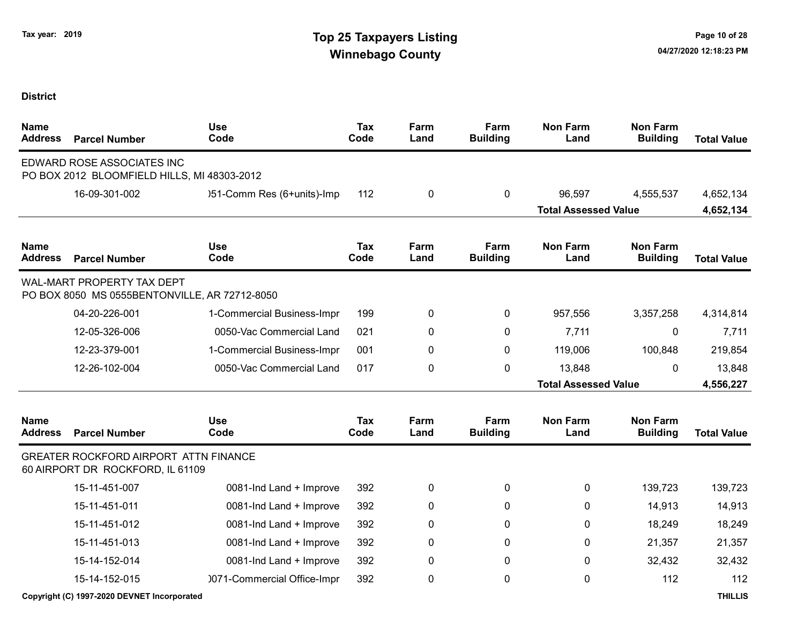# Tax year: 2019 **Tax 1988 Tax Decision Contract Contract Contract Contract Contract Contract Contract Contract Contract Contract Contract Contract Contract Contract Contract Contract Contract Contract Contract Contract Cont** Winnebago County and the County of the County of the County of the County of the County of the County of the County of the County of the County of the County of the County of the County of the County of the County of the C

| <b>Name</b><br><b>Address</b> | <b>Parcel Number</b>                                                        | <b>Use</b><br>Code          | Tax<br>Code | Farm<br>Land | Farm<br><b>Building</b> | <b>Non Farm</b><br>Land     | <b>Non Farm</b><br><b>Building</b> | <b>Total Value</b> |
|-------------------------------|-----------------------------------------------------------------------------|-----------------------------|-------------|--------------|-------------------------|-----------------------------|------------------------------------|--------------------|
|                               | EDWARD ROSE ASSOCIATES INC<br>PO BOX 2012 BLOOMFIELD HILLS, MI 48303-2012   |                             |             |              |                         |                             |                                    |                    |
|                               | 16-09-301-002                                                               | )51-Comm Res (6+units)-Imp  | 112         | 0            | 0                       | 96,597                      | 4,555,537                          | 4,652,134          |
|                               |                                                                             |                             |             |              |                         | <b>Total Assessed Value</b> |                                    | 4,652,134          |
| <b>Name</b><br><b>Address</b> | <b>Parcel Number</b>                                                        | <b>Use</b><br>Code          | Tax<br>Code | Farm<br>Land | Farm<br><b>Building</b> | <b>Non Farm</b><br>Land     | <b>Non Farm</b><br><b>Building</b> | <b>Total Value</b> |
|                               | WAL-MART PROPERTY TAX DEPT<br>PO BOX 8050 MS 0555BENTONVILLE, AR 72712-8050 |                             |             |              |                         |                             |                                    |                    |
|                               | 04-20-226-001                                                               | 1-Commercial Business-Impr  | 199         | 0            | 0                       | 957,556                     | 3,357,258                          | 4,314,814          |
|                               | 12-05-326-006                                                               | 0050-Vac Commercial Land    | 021         | 0            | 0                       | 7,711                       | 0                                  | 7,711              |
|                               | 12-23-379-001                                                               | 1-Commercial Business-Impr  | 001         | 0            | 0                       | 119,006                     | 100,848                            | 219,854            |
|                               | 12-26-102-004                                                               | 0050-Vac Commercial Land    | 017         | 0            | 0                       | 13,848                      | 0                                  | 13,848             |
|                               |                                                                             |                             |             |              |                         | <b>Total Assessed Value</b> |                                    | 4,556,227          |
| <b>Name</b><br><b>Address</b> | <b>Parcel Number</b>                                                        | <b>Use</b><br>Code          | Tax<br>Code | Farm<br>Land | Farm<br><b>Building</b> | <b>Non Farm</b><br>Land     | <b>Non Farm</b><br><b>Building</b> | <b>Total Value</b> |
|                               | GREATER ROCKFORD AIRPORT ATTN FINANCE<br>60 AIRPORT DR ROCKFORD, IL 61109   |                             |             |              |                         |                             |                                    |                    |
|                               | 15-11-451-007                                                               | 0081-Ind Land + Improve     | 392         | 0            | 0                       | 0                           | 139,723                            | 139,723            |
|                               | 15-11-451-011                                                               | 0081-Ind Land + Improve     | 392         | 0            | 0                       | $\mathbf 0$                 | 14,913                             | 14,913             |
|                               | 15-11-451-012                                                               | 0081-Ind Land + Improve     | 392         | 0            | 0                       | 0                           | 18,249                             | 18,249             |
|                               | 15-11-451-013                                                               | 0081-Ind Land + Improve     | 392         | 0            | 0                       | 0                           | 21,357                             | 21,357             |
|                               | 15-14-152-014                                                               | 0081-Ind Land + Improve     | 392         | 0            | 0                       | 0                           | 32,432                             | 32,432             |
|                               | 15-14-152-015                                                               | 0071-Commercial Office-Impr | 392         | 0            | 0                       | 0                           | 112                                | 112                |
|                               | Copyright (C) 1997-2020 DEVNET Incorporated                                 |                             |             |              |                         |                             |                                    | <b>THILLIS</b>     |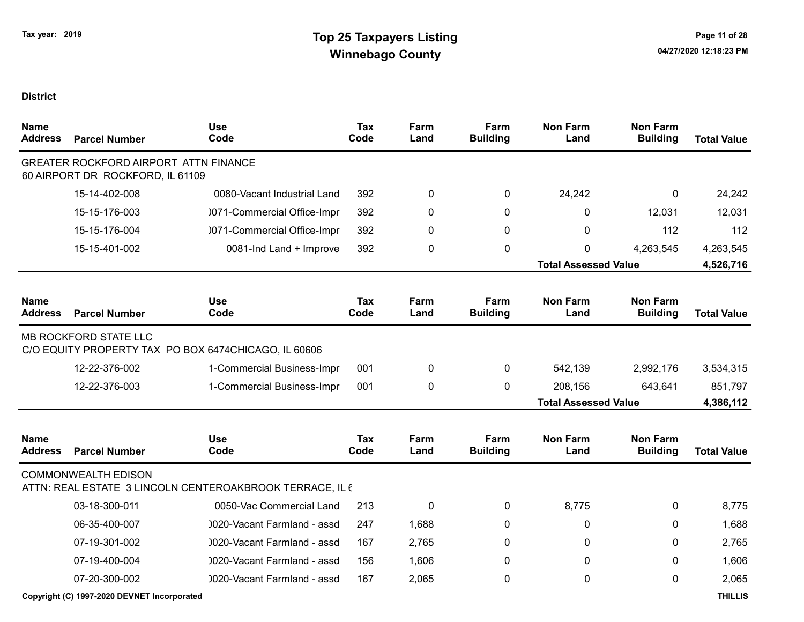| Name<br><b>Address</b>        | <b>Parcel Number</b>                                                             | <b>Use</b><br>Code                                       | <b>Tax</b><br>Code | Farm<br>Land | Farm<br><b>Building</b> | <b>Non Farm</b><br>Land     | <b>Non Farm</b><br><b>Building</b> | <b>Total Value</b> |
|-------------------------------|----------------------------------------------------------------------------------|----------------------------------------------------------|--------------------|--------------|-------------------------|-----------------------------|------------------------------------|--------------------|
|                               | <b>GREATER ROCKFORD AIRPORT ATTN FINANCE</b><br>60 AIRPORT DR ROCKFORD, IL 61109 |                                                          |                    |              |                         |                             |                                    |                    |
|                               | 15-14-402-008                                                                    | 0080-Vacant Industrial Land                              | 392                | 0            | 0                       | 24,242                      | 0                                  | 24,242             |
|                               | 15-15-176-003                                                                    | 0071-Commercial Office-Impr                              | 392                | 0            | $\mathbf{0}$            | 0                           | 12,031                             | 12,031             |
|                               | 15-15-176-004                                                                    | 0071-Commercial Office-Impr                              | 392                | 0            | $\mathbf{0}$            | $\Omega$                    | 112                                | 112                |
|                               | 15-15-401-002                                                                    | 0081-Ind Land + Improve                                  | 392                | 0            | 0                       | 0                           | 4,263,545                          | 4,263,545          |
|                               |                                                                                  |                                                          |                    |              |                         | <b>Total Assessed Value</b> |                                    | 4,526,716          |
| <b>Name</b><br><b>Address</b> | <b>Parcel Number</b>                                                             | <b>Use</b><br>Code                                       | <b>Tax</b><br>Code | Farm<br>Land | Farm<br><b>Building</b> | <b>Non Farm</b><br>Land     | <b>Non Farm</b><br><b>Building</b> | <b>Total Value</b> |
|                               | MB ROCKFORD STATE LLC                                                            | C/O EQUITY PROPERTY TAX PO BOX 6474CHICAGO, IL 60606     |                    |              |                         |                             |                                    |                    |
|                               | 12-22-376-002                                                                    | 1-Commercial Business-Impr                               | 001                | 0            | 0                       | 542,139                     | 2,992,176                          | 3,534,315          |
|                               | 12-22-376-003                                                                    | 1-Commercial Business-Impr                               | 001                | 0            | 0                       | 208,156                     | 643,641                            | 851,797            |
|                               |                                                                                  |                                                          |                    |              |                         | <b>Total Assessed Value</b> |                                    | 4,386,112          |
| <b>Name</b><br><b>Address</b> | <b>Parcel Number</b>                                                             | <b>Use</b><br>Code                                       | <b>Tax</b><br>Code | Farm<br>Land | Farm<br><b>Building</b> | <b>Non Farm</b><br>Land     | <b>Non Farm</b><br><b>Building</b> | <b>Total Value</b> |
|                               | <b>COMMONWEALTH EDISON</b>                                                       | ATTN: REAL ESTATE 3 LINCOLN CENTEROAKBROOK TERRACE, IL 6 |                    |              |                         |                             |                                    |                    |
|                               | 03-18-300-011                                                                    | 0050-Vac Commercial Land                                 | 213                | 0            | 0                       | 8,775                       | 0                                  | 8,775              |
|                               | 06-35-400-007                                                                    | 0020-Vacant Farmland - assd                              | 247                | 1,688        | $\mathbf{0}$            | 0                           | $\mathbf{0}$                       | 1,688              |
|                               | 07-19-301-002                                                                    | 0020-Vacant Farmland - assd                              | 167                | 2,765        | 0                       | 0                           | $\Omega$                           | 2,765              |
|                               | 07-19-400-004                                                                    | 0020-Vacant Farmland - assd                              | 156                | 1,606        | $\mathbf{0}$            | 0                           | $\mathbf{0}$                       | 1,606              |
|                               | 07-20-300-002                                                                    | 0020-Vacant Farmland - assd                              | 167                | 2,065        | $\mathbf 0$             | $\Omega$                    | $\Omega$                           | 2,065              |
|                               | Copyright (C) 1997-2020 DEVNET Incorporated                                      |                                                          |                    |              |                         |                             |                                    | <b>THILLIS</b>     |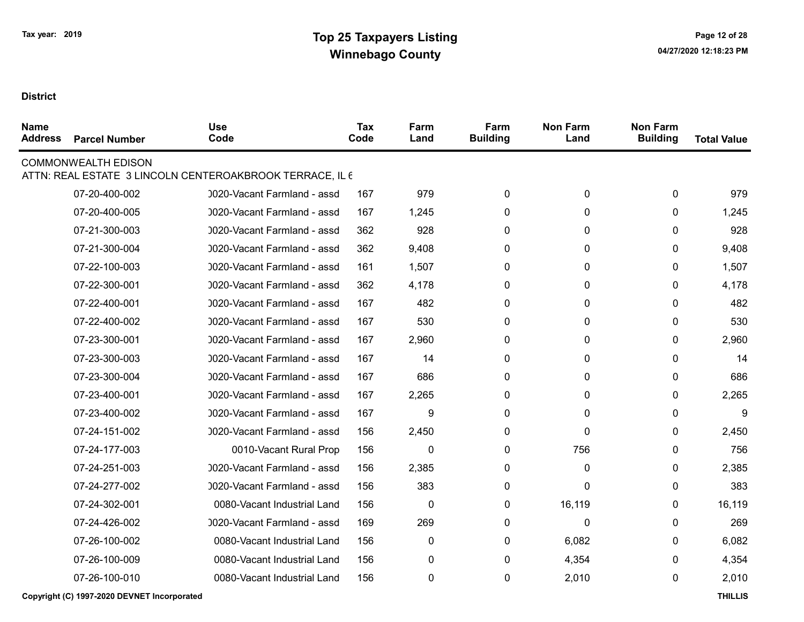| <b>Name</b><br><b>Address</b> | <b>Parcel Number</b>       | <b>Use</b><br>Code                                       | Tax<br>Code | Farm<br>Land | Farm<br><b>Building</b> | <b>Non Farm</b><br>Land | <b>Non Farm</b><br><b>Building</b> | <b>Total Value</b> |
|-------------------------------|----------------------------|----------------------------------------------------------|-------------|--------------|-------------------------|-------------------------|------------------------------------|--------------------|
|                               | <b>COMMONWEALTH EDISON</b> |                                                          |             |              |                         |                         |                                    |                    |
|                               |                            | ATTN: REAL ESTATE 3 LINCOLN CENTEROAKBROOK TERRACE, IL 6 |             |              |                         |                         |                                    |                    |
|                               | 07-20-400-002              | 0020-Vacant Farmland - assd                              | 167         | 979          | 0                       | $\mathbf 0$             | $\mathbf 0$                        | 979                |
|                               | 07-20-400-005              | 0020-Vacant Farmland - assd                              | 167         | 1,245        | 0                       | 0                       | $\mathbf{0}$                       | 1,245              |
|                               | 07-21-300-003              | 0020-Vacant Farmland - assd                              | 362         | 928          | $\mathbf{0}$            | $\mathbf{0}$            | $\mathbf{0}$                       | 928                |
|                               | 07-21-300-004              | 0020-Vacant Farmland - assd                              | 362         | 9,408        | $\mathbf{0}$            | $\mathbf{0}$            | $\mathbf{0}$                       | 9,408              |
|                               | 07-22-100-003              | 0020-Vacant Farmland - assd                              | 161         | 1,507        | 0                       | 0                       | 0                                  | 1,507              |
|                               | 07-22-300-001              | 0020-Vacant Farmland - assd                              | 362         | 4,178        | $\Omega$                | $\mathbf{0}$            | $\Omega$                           | 4,178              |
|                               | 07-22-400-001              | 0020-Vacant Farmland - assd                              | 167         | 482          | $\mathbf{0}$            | $\mathbf{0}$            | $\Omega$                           | 482                |
|                               | 07-22-400-002              | 0020-Vacant Farmland - assd                              | 167         | 530          | $\mathbf{0}$            | $\mathbf{0}$            | $\mathbf{0}$                       | 530                |
|                               | 07-23-300-001              | 0020-Vacant Farmland - assd                              | 167         | 2,960        | $\mathbf{0}$            | 0                       | $\mathbf{0}$                       | 2,960              |
|                               | 07-23-300-003              | 0020-Vacant Farmland - assd                              | 167         | 14           | 0                       | 0                       | $\mathbf{0}$                       | 14                 |
|                               | 07-23-300-004              | 0020-Vacant Farmland - assd                              | 167         | 686          | $\mathbf 0$             | $\mathbf 0$             | $\mathbf{0}$                       | 686                |
|                               | 07-23-400-001              | 0020-Vacant Farmland - assd                              | 167         | 2,265        | 0                       | 0                       | 0                                  | 2,265              |
|                               | 07-23-400-002              | 0020-Vacant Farmland - assd                              | 167         | 9            | $\mathbf{0}$            | $\mathbf{0}$            | $\mathbf{0}$                       | 9                  |
|                               | 07-24-151-002              | 0020-Vacant Farmland - assd                              | 156         | 2,450        | $\mathbf{0}$            | 0                       | $\mathbf{0}$                       | 2,450              |
|                               | 07-24-177-003              | 0010-Vacant Rural Prop                                   | 156         | $\mathbf{0}$ | 0                       | 756                     | $\mathbf{0}$                       | 756                |
|                               | 07-24-251-003              | 0020-Vacant Farmland - assd                              | 156         | 2,385        | $\mathbf{0}$            | $\Omega$                | $\mathbf{0}$                       | 2,385              |
|                               | 07-24-277-002              | 0020-Vacant Farmland - assd                              | 156         | 383          | $\mathbf{0}$            | $\Omega$                | $\mathbf{0}$                       | 383                |
|                               | 07-24-302-001              | 0080-Vacant Industrial Land                              | 156         | $\mathbf 0$  | $\mathbf{0}$            | 16,119                  | $\mathbf{0}$                       | 16,119             |
|                               | 07-24-426-002              | 0020-Vacant Farmland - assd                              | 169         | 269          | 0                       | $\Omega$                | 0                                  | 269                |
|                               | 07-26-100-002              | 0080-Vacant Industrial Land                              | 156         | 0            | $\mathbf{0}$            | 6,082                   | $\mathbf{0}$                       | 6,082              |
|                               | 07-26-100-009              | 0080-Vacant Industrial Land                              | 156         | 0            | 0                       | 4,354                   | 0                                  | 4,354              |
|                               | 07-26-100-010              | 0080-Vacant Industrial Land                              | 156         | 0            | 0                       | 2,010                   | 0                                  | 2,010              |
|                               |                            |                                                          |             |              |                         |                         |                                    |                    |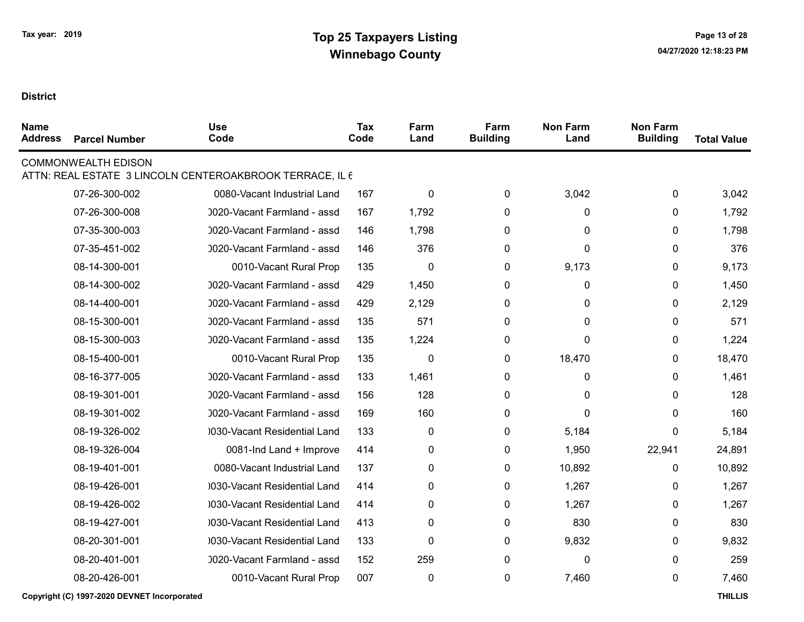| <b>Name</b><br><b>Address</b> | <b>Parcel Number</b>       | <b>Use</b><br>Code                                       | Tax<br>Code | Farm<br>Land | Farm<br><b>Building</b> | <b>Non Farm</b><br>Land | <b>Non Farm</b><br><b>Building</b> | <b>Total Value</b> |
|-------------------------------|----------------------------|----------------------------------------------------------|-------------|--------------|-------------------------|-------------------------|------------------------------------|--------------------|
|                               | <b>COMMONWEALTH EDISON</b> | ATTN: REAL ESTATE 3 LINCOLN CENTEROAKBROOK TERRACE, IL 6 |             |              |                         |                         |                                    |                    |
|                               | 07-26-300-002              | 0080-Vacant Industrial Land                              | 167         | 0            | 0                       | 3,042                   | 0                                  | 3,042              |
|                               | 07-26-300-008              | 0020-Vacant Farmland - assd                              | 167         | 1,792        | 0                       | 0                       | 0                                  | 1,792              |
|                               | 07-35-300-003              | 0020-Vacant Farmland - assd                              | 146         | 1,798        | 0                       | 0                       | 0                                  | 1,798              |
|                               | 07-35-451-002              | 0020-Vacant Farmland - assd                              | 146         | 376          | 0                       | 0                       | 0                                  | 376                |
|                               | 08-14-300-001              | 0010-Vacant Rural Prop                                   | 135         | 0            | 0                       | 9,173                   | 0                                  | 9,173              |
|                               | 08-14-300-002              | 0020-Vacant Farmland - assd                              | 429         | 1,450        | 0                       | 0                       | 0                                  | 1,450              |
|                               | 08-14-400-001              | 0020-Vacant Farmland - assd                              | 429         | 2,129        | 0                       | 0                       | 0                                  | 2,129              |
|                               | 08-15-300-001              | 0020-Vacant Farmland - assd                              | 135         | 571          | 0                       | 0                       | 0                                  | 571                |
|                               | 08-15-300-003              | 0020-Vacant Farmland - assd                              | 135         | 1,224        | 0                       | 0                       | 0                                  | 1,224              |
|                               | 08-15-400-001              | 0010-Vacant Rural Prop                                   | 135         | 0            | 0                       | 18,470                  | 0                                  | 18,470             |
|                               | 08-16-377-005              | 0020-Vacant Farmland - assd                              | 133         | 1,461        | 0                       | 0                       | 0                                  | 1,461              |
|                               | 08-19-301-001              | 0020-Vacant Farmland - assd                              | 156         | 128          | 0                       | 0                       | 0                                  | 128                |
|                               | 08-19-301-002              | 0020-Vacant Farmland - assd                              | 169         | 160          | 0                       | 0                       | 0                                  | 160                |
|                               | 08-19-326-002              | 0030-Vacant Residential Land                             | 133         | 0            | 0                       | 5,184                   | 0                                  | 5,184              |
|                               | 08-19-326-004              | 0081-Ind Land + Improve                                  | 414         | 0            | 0                       | 1,950                   | 22,941                             | 24,891             |
|                               | 08-19-401-001              | 0080-Vacant Industrial Land                              | 137         | 0            | 0                       | 10,892                  | 0                                  | 10,892             |
|                               | 08-19-426-001              | 0030-Vacant Residential Land                             | 414         | 0            | 0                       | 1,267                   | 0                                  | 1,267              |
|                               | 08-19-426-002              | 0030-Vacant Residential Land                             | 414         | 0            | 0                       | 1,267                   | 0                                  | 1,267              |
|                               | 08-19-427-001              | 0030-Vacant Residential Land                             | 413         | 0            | $\mathbf{0}$            | 830                     | 0                                  | 830                |
|                               | 08-20-301-001              | 0030-Vacant Residential Land                             | 133         | 0            | 0                       | 9,832                   | 0                                  | 9,832              |
|                               | 08-20-401-001              | 0020-Vacant Farmland - assd                              | 152         | 259          | 0                       | 0                       | 0                                  | 259                |
|                               | 08-20-426-001              | 0010-Vacant Rural Prop                                   | 007         | $\pmb{0}$    | 0                       | 7,460                   | 0                                  | 7,460              |
|                               |                            |                                                          |             |              |                         |                         |                                    |                    |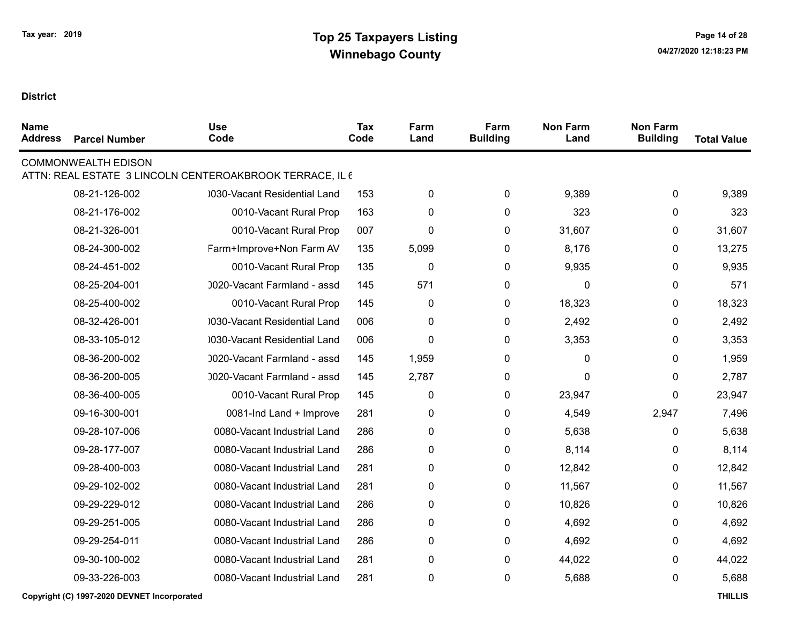| <b>Name</b><br><b>Address</b> | <b>Parcel Number</b>       | <b>Use</b><br>Code                                       | <b>Tax</b><br>Code | Farm<br>Land | Farm<br><b>Building</b> | <b>Non Farm</b><br>Land | <b>Non Farm</b><br><b>Building</b> | <b>Total Value</b> |
|-------------------------------|----------------------------|----------------------------------------------------------|--------------------|--------------|-------------------------|-------------------------|------------------------------------|--------------------|
|                               | <b>COMMONWEALTH EDISON</b> | ATTN: REAL ESTATE 3 LINCOLN CENTEROAKBROOK TERRACE, IL 6 |                    |              |                         |                         |                                    |                    |
|                               | 08-21-126-002              | 0030-Vacant Residential Land                             | 153                | 0            | 0                       | 9,389                   | 0                                  | 9,389              |
|                               | 08-21-176-002              | 0010-Vacant Rural Prop                                   | 163                | 0            | 0                       | 323                     | 0                                  | 323                |
|                               | 08-21-326-001              | 0010-Vacant Rural Prop                                   | 007                | 0            | 0                       | 31,607                  | 0                                  | 31,607             |
|                               | 08-24-300-002              | Farm+Improve+Non Farm AV                                 | 135                | 5,099        | 0                       | 8,176                   | 0                                  | 13,275             |
|                               | 08-24-451-002              | 0010-Vacant Rural Prop                                   | 135                | 0            | 0                       | 9,935                   | 0                                  | 9,935              |
|                               | 08-25-204-001              | 0020-Vacant Farmland - assd                              | 145                | 571          | 0                       | 0                       | 0                                  | 571                |
|                               | 08-25-400-002              | 0010-Vacant Rural Prop                                   | 145                | $\pmb{0}$    | 0                       | 18,323                  | 0                                  | 18,323             |
|                               | 08-32-426-001              | 0030-Vacant Residential Land                             | 006                | $\pmb{0}$    | 0                       | 2,492                   | 0                                  | 2,492              |
|                               | 08-33-105-012              | 0030-Vacant Residential Land                             | 006                | 0            | 0                       | 3,353                   | 0                                  | 3,353              |
|                               | 08-36-200-002              | 0020-Vacant Farmland - assd                              | 145                | 1,959        | 0                       | 0                       | 0                                  | 1,959              |
|                               | 08-36-200-005              | 0020-Vacant Farmland - assd                              | 145                | 2,787        | 0                       | 0                       | 0                                  | 2,787              |
|                               | 08-36-400-005              | 0010-Vacant Rural Prop                                   | 145                | 0            | 0                       | 23,947                  | 0                                  | 23,947             |
|                               | 09-16-300-001              | 0081-Ind Land + Improve                                  | 281                | 0            | 0                       | 4,549                   | 2,947                              | 7,496              |
|                               | 09-28-107-006              | 0080-Vacant Industrial Land                              | 286                | 0            | 0                       | 5,638                   | 0                                  | 5,638              |
|                               | 09-28-177-007              | 0080-Vacant Industrial Land                              | 286                | 0            | 0                       | 8,114                   | 0                                  | 8,114              |
|                               | 09-28-400-003              | 0080-Vacant Industrial Land                              | 281                | 0            | 0                       | 12,842                  | 0                                  | 12,842             |
|                               | 09-29-102-002              | 0080-Vacant Industrial Land                              | 281                | 0            | 0                       | 11,567                  | 0                                  | 11,567             |
|                               | 09-29-229-012              | 0080-Vacant Industrial Land                              | 286                | 0            | 0                       | 10,826                  | 0                                  | 10,826             |
|                               | 09-29-251-005              | 0080-Vacant Industrial Land                              | 286                | 0            | 0                       | 4,692                   | 0                                  | 4,692              |
|                               | 09-29-254-011              | 0080-Vacant Industrial Land                              | 286                | 0            | 0                       | 4,692                   | 0                                  | 4,692              |
|                               | 09-30-100-002              | 0080-Vacant Industrial Land                              | 281                | 0            | 0                       | 44,022                  | 0                                  | 44,022             |
|                               | 09-33-226-003              | 0080-Vacant Industrial Land                              | 281                | 0            | 0                       | 5,688                   | 0                                  | 5,688              |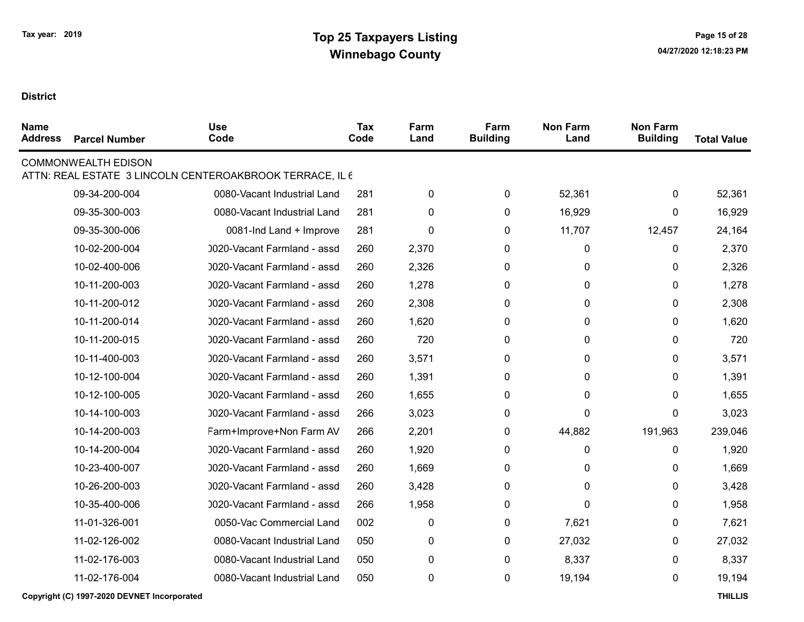| <b>Name</b><br><b>Address</b> | <b>Parcel Number</b>       | <b>Use</b><br>Code                                       | Tax<br>Code | Farm<br>Land | Farm<br><b>Building</b> | <b>Non Farm</b><br>Land | <b>Non Farm</b><br><b>Building</b> | <b>Total Value</b> |
|-------------------------------|----------------------------|----------------------------------------------------------|-------------|--------------|-------------------------|-------------------------|------------------------------------|--------------------|
|                               | <b>COMMONWEALTH EDISON</b> | ATTN: REAL ESTATE 3 LINCOLN CENTEROAKBROOK TERRACE, IL 6 |             |              |                         |                         |                                    |                    |
|                               | 09-34-200-004              | 0080-Vacant Industrial Land                              | 281         | $\pmb{0}$    | 0                       | 52,361                  | 0                                  | 52,361             |
|                               | 09-35-300-003              | 0080-Vacant Industrial Land                              | 281         | $\mathbf{0}$ | 0                       | 16,929                  | 0                                  | 16,929             |
|                               | 09-35-300-006              | 0081-Ind Land + Improve                                  | 281         | $\mathbf 0$  | 0                       | 11,707                  | 12,457                             | 24,164             |
|                               | 10-02-200-004              | 0020-Vacant Farmland - assd                              | 260         | 2,370        | 0                       | 0                       | 0                                  | 2,370              |
|                               | 10-02-400-006              | 0020-Vacant Farmland - assd                              | 260         | 2,326        | 0                       | 0                       | 0                                  | 2,326              |
|                               | 10-11-200-003              | 0020-Vacant Farmland - assd                              | 260         | 1,278        | 0                       | 0                       | 0                                  | 1,278              |
|                               | 10-11-200-012              | 0020-Vacant Farmland - assd                              | 260         | 2,308        | $\mathbf{0}$            | 0                       | 0                                  | 2,308              |
|                               | 10-11-200-014              | 0020-Vacant Farmland - assd                              | 260         | 1,620        | 0                       | 0                       | 0                                  | 1,620              |
|                               | 10-11-200-015              | 0020-Vacant Farmland - assd                              | 260         | 720          | $\mathbf{0}$            | 0                       | 0                                  | 720                |
|                               | 10-11-400-003              | 0020-Vacant Farmland - assd                              | 260         | 3,571        | 0                       | 0                       | 0                                  | 3,571              |
|                               | 10-12-100-004              | 0020-Vacant Farmland - assd                              | 260         | 1,391        | 0                       | 0                       | 0                                  | 1,391              |
|                               | 10-12-100-005              | 0020-Vacant Farmland - assd                              | 260         | 1,655        | 0                       | 0                       | 0                                  | 1,655              |
|                               | 10-14-100-003              | 0020-Vacant Farmland - assd                              | 266         | 3,023        | 0                       | 0                       | 0                                  | 3,023              |
|                               | 10-14-200-003              | Farm+Improve+Non Farm AV                                 | 266         | 2,201        | 0                       | 44,882                  | 191,963                            | 239,046            |
|                               | 10-14-200-004              | 0020-Vacant Farmland - assd                              | 260         | 1,920        | 0                       | 0                       | 0                                  | 1,920              |
|                               | 10-23-400-007              | 0020-Vacant Farmland - assd                              | 260         | 1,669        | 0                       | 0                       | 0                                  | 1,669              |
|                               | 10-26-200-003              | 0020-Vacant Farmland - assd                              | 260         | 3,428        | 0                       | 0                       | 0                                  | 3,428              |
|                               | 10-35-400-006              | 0020-Vacant Farmland - assd                              | 266         | 1,958        | 0                       | 0                       | 0                                  | 1,958              |
|                               | 11-01-326-001              | 0050-Vac Commercial Land                                 | 002         | 0            | 0                       | 7,621                   | 0                                  | 7,621              |
|                               | 11-02-126-002              | 0080-Vacant Industrial Land                              | 050         | 0            | 0                       | 27,032                  | 0                                  | 27,032             |
|                               | 11-02-176-003              | 0080-Vacant Industrial Land                              | 050         | $\pmb{0}$    | $\pmb{0}$               | 8,337                   | 0                                  | 8,337              |
|                               | 11-02-176-004              | 0080-Vacant Industrial Land                              | 050         | $\pmb{0}$    | 0                       | 19,194                  | 0                                  | 19,194             |
|                               |                            |                                                          |             |              |                         |                         |                                    |                    |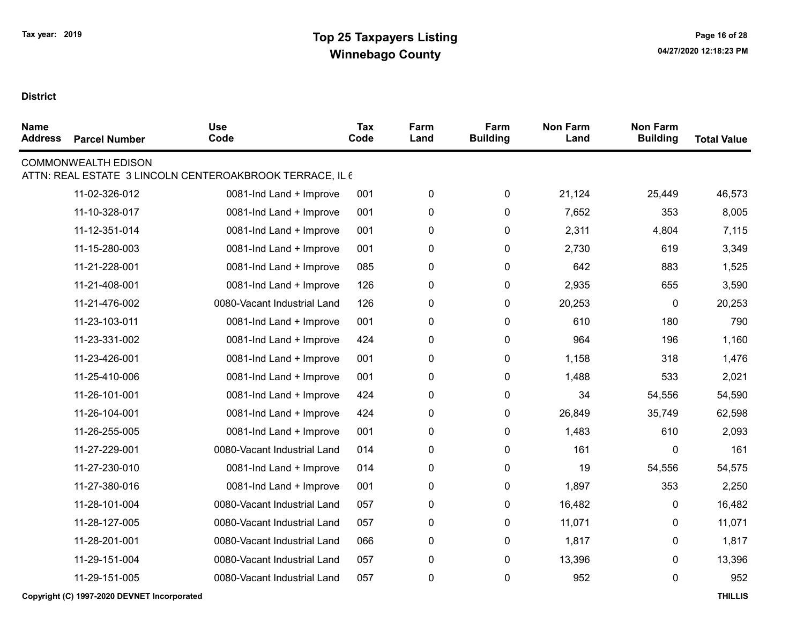| <b>Name</b><br><b>Address</b> | <b>Parcel Number</b>       | <b>Use</b><br>Code                                       | <b>Tax</b><br>Code | Farm<br>Land | Farm<br><b>Building</b> | <b>Non Farm</b><br>Land | <b>Non Farm</b><br><b>Building</b> | <b>Total Value</b> |
|-------------------------------|----------------------------|----------------------------------------------------------|--------------------|--------------|-------------------------|-------------------------|------------------------------------|--------------------|
|                               | <b>COMMONWEALTH EDISON</b> | ATTN: REAL ESTATE 3 LINCOLN CENTEROAKBROOK TERRACE, IL 6 |                    |              |                         |                         |                                    |                    |
|                               | 11-02-326-012              | 0081-Ind Land + Improve                                  | 001                | $\pmb{0}$    | 0                       | 21,124                  | 25,449                             | 46,573             |
|                               | 11-10-328-017              | 0081-Ind Land + Improve                                  | 001                | $\pmb{0}$    | $\mathbf 0$             | 7,652                   | 353                                | 8,005              |
|                               | 11-12-351-014              | 0081-Ind Land + Improve                                  | 001                | $\pmb{0}$    | 0                       | 2,311                   | 4,804                              | 7,115              |
|                               | 11-15-280-003              | 0081-Ind Land + Improve                                  | 001                | $\pmb{0}$    | $\pmb{0}$               | 2,730                   | 619                                | 3,349              |
|                               | 11-21-228-001              | 0081-Ind Land + Improve                                  | 085                | $\pmb{0}$    | $\pmb{0}$               | 642                     | 883                                | 1,525              |
|                               | 11-21-408-001              | 0081-Ind Land + Improve                                  | 126                | $\pmb{0}$    | $\pmb{0}$               | 2,935                   | 655                                | 3,590              |
|                               | 11-21-476-002              | 0080-Vacant Industrial Land                              | 126                | $\pmb{0}$    | $\pmb{0}$               | 20,253                  | 0                                  | 20,253             |
|                               | 11-23-103-011              | 0081-Ind Land + Improve                                  | 001                | $\pmb{0}$    | $\pmb{0}$               | 610                     | 180                                | 790                |
|                               | 11-23-331-002              | 0081-Ind Land + Improve                                  | 424                | $\pmb{0}$    | $\mathbf 0$             | 964                     | 196                                | 1,160              |
|                               | 11-23-426-001              | 0081-Ind Land + Improve                                  | 001                | $\pmb{0}$    | $\mathbf 0$             | 1,158                   | 318                                | 1,476              |
|                               | 11-25-410-006              | 0081-Ind Land + Improve                                  | 001                | $\pmb{0}$    | $\pmb{0}$               | 1,488                   | 533                                | 2,021              |
|                               | 11-26-101-001              | 0081-Ind Land + Improve                                  | 424                | $\pmb{0}$    | $\mathbf 0$             | 34                      | 54,556                             | 54,590             |
|                               | 11-26-104-001              | 0081-Ind Land + Improve                                  | 424                | $\pmb{0}$    | $\pmb{0}$               | 26,849                  | 35,749                             | 62,598             |
|                               | 11-26-255-005              | 0081-Ind Land + Improve                                  | 001                | $\pmb{0}$    | $\pmb{0}$               | 1,483                   | 610                                | 2,093              |
|                               | 11-27-229-001              | 0080-Vacant Industrial Land                              | 014                | $\pmb{0}$    | $\pmb{0}$               | 161                     | 0                                  | 161                |
|                               | 11-27-230-010              | 0081-Ind Land + Improve                                  | 014                | $\pmb{0}$    | $\pmb{0}$               | 19                      | 54,556                             | 54,575             |
|                               | 11-27-380-016              | 0081-Ind Land + Improve                                  | 001                | $\pmb{0}$    | $\pmb{0}$               | 1,897                   | 353                                | 2,250              |
|                               | 11-28-101-004              | 0080-Vacant Industrial Land                              | 057                | $\pmb{0}$    | $\pmb{0}$               | 16,482                  | 0                                  | 16,482             |
|                               | 11-28-127-005              | 0080-Vacant Industrial Land                              | 057                | $\mathbf 0$  | 0                       | 11,071                  | 0                                  | 11,071             |
|                               | 11-28-201-001              | 0080-Vacant Industrial Land                              | 066                | $\pmb{0}$    | $\mathbf 0$             | 1,817                   | 0                                  | 1,817              |
|                               | 11-29-151-004              | 0080-Vacant Industrial Land                              | 057                | $\pmb{0}$    | $\mathbf 0$             | 13,396                  | 0                                  | 13,396             |
|                               | 11-29-151-005              | 0080-Vacant Industrial Land                              | 057                | $\pmb{0}$    | $\pmb{0}$               | 952                     | 0                                  | 952                |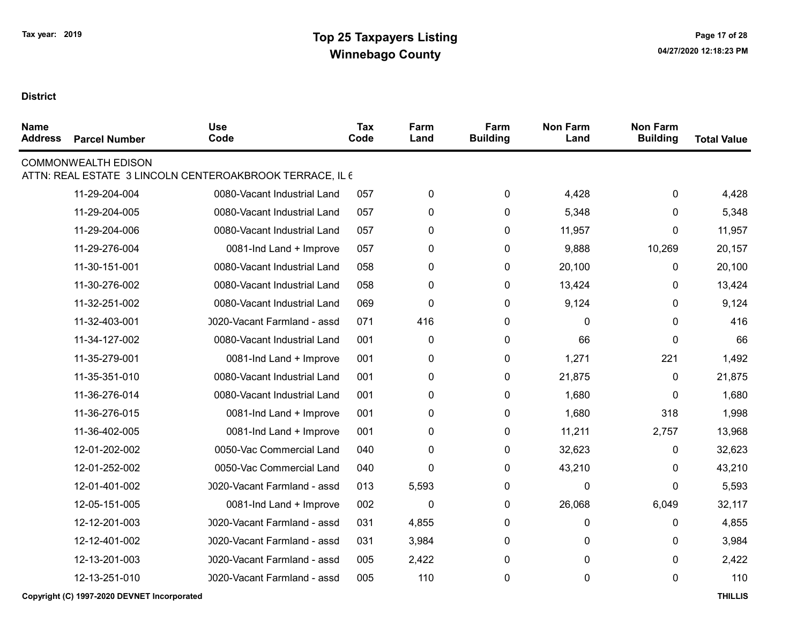| <b>Name</b><br><b>Address</b> | <b>Parcel Number</b>       | <b>Use</b><br>Code                                       | <b>Tax</b><br>Code | Farm<br>Land | Farm<br><b>Building</b> | <b>Non Farm</b><br>Land | <b>Non Farm</b><br><b>Building</b> | <b>Total Value</b> |
|-------------------------------|----------------------------|----------------------------------------------------------|--------------------|--------------|-------------------------|-------------------------|------------------------------------|--------------------|
|                               | <b>COMMONWEALTH EDISON</b> | ATTN: REAL ESTATE 3 LINCOLN CENTEROAKBROOK TERRACE, IL 6 |                    |              |                         |                         |                                    |                    |
|                               | 11-29-204-004              | 0080-Vacant Industrial Land                              | 057                | 0            | 0                       | 4,428                   | 0                                  | 4,428              |
|                               | 11-29-204-005              | 0080-Vacant Industrial Land                              | 057                | $\pmb{0}$    | 0                       | 5,348                   | 0                                  | 5,348              |
|                               | 11-29-204-006              | 0080-Vacant Industrial Land                              | 057                | 0            | 0                       | 11,957                  | 0                                  | 11,957             |
|                               | 11-29-276-004              | 0081-Ind Land + Improve                                  | 057                | 0            | 0                       | 9,888                   | 10,269                             | 20,157             |
|                               | 11-30-151-001              | 0080-Vacant Industrial Land                              | 058                | $\pmb{0}$    | 0                       | 20,100                  | 0                                  | 20,100             |
|                               | 11-30-276-002              | 0080-Vacant Industrial Land                              | 058                | 0            | 0                       | 13,424                  | $\mathbf{0}$                       | 13,424             |
|                               | 11-32-251-002              | 0080-Vacant Industrial Land                              | 069                | $\mathbf 0$  | 0                       | 9,124                   | 0                                  | 9,124              |
|                               | 11-32-403-001              | 0020-Vacant Farmland - assd                              | 071                | 416          | 0                       | 0                       | 0                                  | 416                |
|                               | 11-34-127-002              | 0080-Vacant Industrial Land                              | 001                | 0            | 0                       | 66                      | 0                                  | 66                 |
|                               | 11-35-279-001              | 0081-Ind Land + Improve                                  | 001                | 0            | 0                       | 1,271                   | 221                                | 1,492              |
|                               | 11-35-351-010              | 0080-Vacant Industrial Land                              | 001                | 0            | $\pmb{0}$               | 21,875                  | 0                                  | 21,875             |
|                               | 11-36-276-014              | 0080-Vacant Industrial Land                              | 001                | 0            | 0                       | 1,680                   | $\mathbf{0}$                       | 1,680              |
|                               | 11-36-276-015              | 0081-Ind Land + Improve                                  | 001                | $\pmb{0}$    | $\pmb{0}$               | 1,680                   | 318                                | 1,998              |
|                               | 11-36-402-005              | 0081-Ind Land + Improve                                  | 001                | $\pmb{0}$    | $\pmb{0}$               | 11,211                  | 2,757                              | 13,968             |
|                               | 12-01-202-002              | 0050-Vac Commercial Land                                 | 040                | 0            | 0                       | 32,623                  | 0                                  | 32,623             |
|                               | 12-01-252-002              | 0050-Vac Commercial Land                                 | 040                | $\pmb{0}$    | 0                       | 43,210                  | 0                                  | 43,210             |
|                               | 12-01-401-002              | 0020-Vacant Farmland - assd                              | 013                | 5,593        | 0                       | 0                       | 0                                  | 5,593              |
|                               | 12-05-151-005              | 0081-Ind Land + Improve                                  | 002                | 0            | 0                       | 26,068                  | 6,049                              | 32,117             |
|                               | 12-12-201-003              | 0020-Vacant Farmland - assd                              | 031                | 4,855        | 0                       | 0                       | 0                                  | 4,855              |
|                               | 12-12-401-002              | 0020-Vacant Farmland - assd                              | 031                | 3,984        | 0                       | 0                       | 0                                  | 3,984              |
|                               | 12-13-201-003              | 0020-Vacant Farmland - assd                              | 005                | 2,422        | 0                       | 0                       | 0                                  | 2,422              |
|                               | 12-13-251-010              | 0020-Vacant Farmland - assd                              | 005                | 110          | 0                       | 0                       | 0                                  | 110                |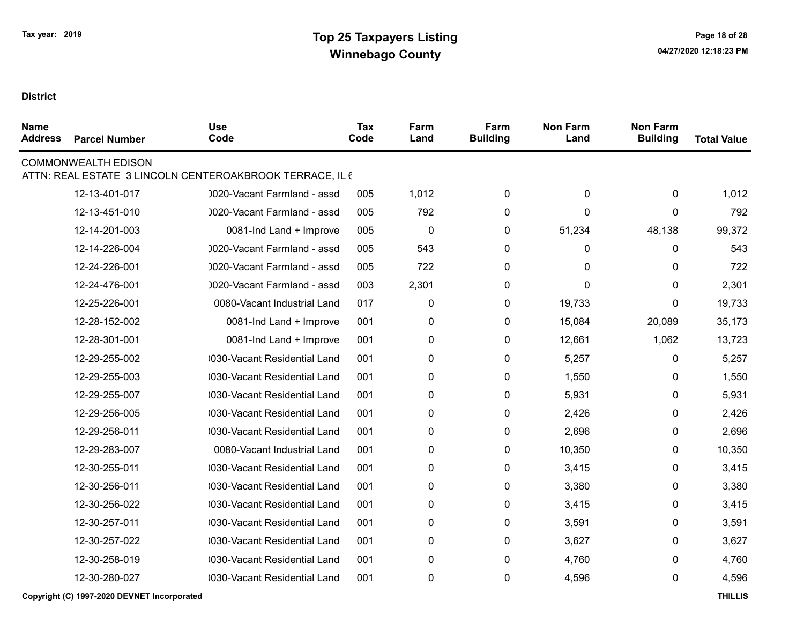| <b>Name</b><br><b>Address</b> | <b>Parcel Number</b>       | <b>Use</b><br>Code                                       | Tax<br>Code | Farm<br>Land | Farm<br><b>Building</b> | <b>Non Farm</b><br>Land | <b>Non Farm</b><br><b>Building</b> | <b>Total Value</b> |
|-------------------------------|----------------------------|----------------------------------------------------------|-------------|--------------|-------------------------|-------------------------|------------------------------------|--------------------|
|                               | <b>COMMONWEALTH EDISON</b> | ATTN: REAL ESTATE 3 LINCOLN CENTEROAKBROOK TERRACE, IL 6 |             |              |                         |                         |                                    |                    |
|                               | 12-13-401-017              | 0020-Vacant Farmland - assd                              | 005         | 1,012        | 0                       | 0                       | 0                                  | 1,012              |
|                               | 12-13-451-010              | 0020-Vacant Farmland - assd                              | 005         | 792          | 0                       | 0                       | $\Omega$                           | 792                |
|                               | 12-14-201-003              | 0081-Ind Land + Improve                                  | 005         | $\mathbf 0$  | 0                       | 51,234                  | 48,138                             | 99,372             |
|                               | 12-14-226-004              | 0020-Vacant Farmland - assd                              | 005         | 543          | $\mathbf{0}$            | 0                       | $\Omega$                           | 543                |
|                               | 12-24-226-001              | 0020-Vacant Farmland - assd                              | 005         | 722          | 0                       | 0                       | 0                                  | 722                |
|                               | 12-24-476-001              | 0020-Vacant Farmland - assd                              | 003         | 2,301        | 0                       | 0                       | 0                                  | 2,301              |
|                               | 12-25-226-001              | 0080-Vacant Industrial Land                              | 017         | 0            | 0                       | 19,733                  | $\Omega$                           | 19,733             |
|                               | 12-28-152-002              | 0081-Ind Land + Improve                                  | 001         | 0            | 0                       | 15,084                  | 20,089                             | 35,173             |
|                               | 12-28-301-001              | 0081-Ind Land + Improve                                  | 001         | 0            | 0                       | 12,661                  | 1,062                              | 13,723             |
|                               | 12-29-255-002              | 0030-Vacant Residential Land                             | 001         | 0            | 0                       | 5,257                   | 0                                  | 5,257              |
|                               | 12-29-255-003              | 030-Vacant Residential Land                              | 001         | 0            | 0                       | 1,550                   | 0                                  | 1,550              |
|                               | 12-29-255-007              | 0030-Vacant Residential Land                             | 001         | 0            | 0                       | 5,931                   | 0                                  | 5,931              |
|                               | 12-29-256-005              | 0030-Vacant Residential Land                             | 001         | 0            | 0                       | 2,426                   | 0                                  | 2,426              |
|                               | 12-29-256-011              | 0030-Vacant Residential Land                             | 001         | 0            | 0                       | 2,696                   | 0                                  | 2,696              |
|                               | 12-29-283-007              | 0080-Vacant Industrial Land                              | 001         | 0            | 0                       | 10,350                  | 0                                  | 10,350             |
|                               | 12-30-255-011              | 0030-Vacant Residential Land                             | 001         | 0            | 0                       | 3,415                   | 0                                  | 3,415              |
|                               | 12-30-256-011              | 0030-Vacant Residential Land                             | 001         | 0            | 0                       | 3,380                   | 0                                  | 3,380              |
|                               | 12-30-256-022              | 030-Vacant Residential Land                              | 001         | 0            | $\mathbf{0}$            | 3,415                   | 0                                  | 3,415              |
|                               | 12-30-257-011              | 0030-Vacant Residential Land                             | 001         | 0            | 0                       | 3,591                   | 0                                  | 3,591              |
|                               | 12-30-257-022              | 030-Vacant Residential Land                              | 001         | 0            | 0                       | 3,627                   | 0                                  | 3,627              |
|                               | 12-30-258-019              | 0030-Vacant Residential Land                             | 001         | 0            | 0                       | 4,760                   | 0                                  | 4,760              |
|                               | 12-30-280-027              | 0030-Vacant Residential Land                             | 001         | 0            | 0                       | 4,596                   | 0                                  | 4,596              |
|                               |                            |                                                          |             |              |                         |                         |                                    |                    |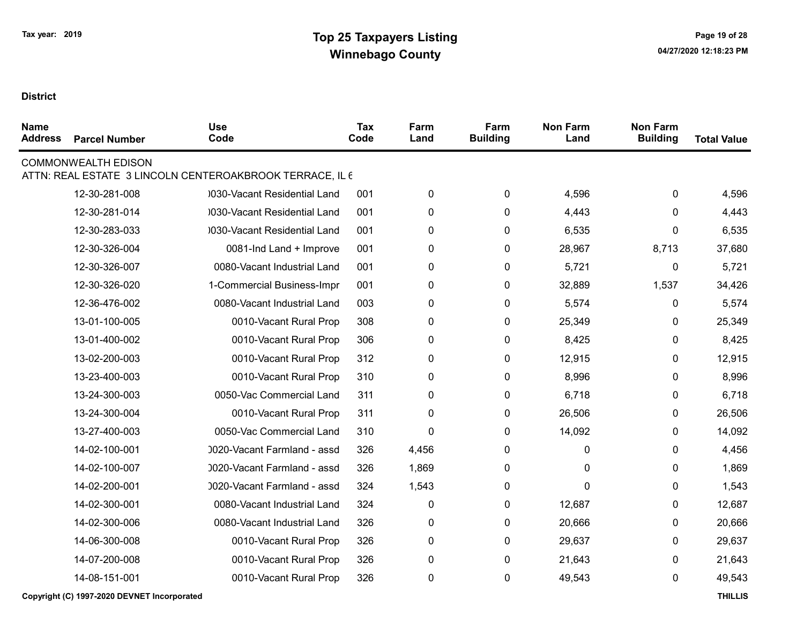| <b>Name</b><br><b>Address</b> | <b>Parcel Number</b>       | <b>Use</b><br>Code                                       | <b>Tax</b><br>Code | Farm<br>Land | Farm<br><b>Building</b> | <b>Non Farm</b><br>Land | <b>Non Farm</b><br><b>Building</b> | <b>Total Value</b> |
|-------------------------------|----------------------------|----------------------------------------------------------|--------------------|--------------|-------------------------|-------------------------|------------------------------------|--------------------|
|                               | <b>COMMONWEALTH EDISON</b> | ATTN: REAL ESTATE 3 LINCOLN CENTEROAKBROOK TERRACE, IL 6 |                    |              |                         |                         |                                    |                    |
|                               | 12-30-281-008              | 0030-Vacant Residential Land                             | 001                | 0            | 0                       | 4,596                   | 0                                  | 4,596              |
|                               | 12-30-281-014              | 0030-Vacant Residential Land                             | 001                | 0            | 0                       | 4,443                   | 0                                  | 4,443              |
|                               | 12-30-283-033              | 0030-Vacant Residential Land                             | 001                | 0            | 0                       | 6,535                   | 0                                  | 6,535              |
|                               | 12-30-326-004              | 0081-Ind Land + Improve                                  | 001                | 0            | 0                       | 28,967                  | 8,713                              | 37,680             |
|                               | 12-30-326-007              | 0080-Vacant Industrial Land                              | 001                | 0            | 0                       | 5,721                   | 0                                  | 5,721              |
|                               | 12-30-326-020              | 1-Commercial Business-Impr                               | 001                | 0            | 0                       | 32,889                  | 1,537                              | 34,426             |
|                               | 12-36-476-002              | 0080-Vacant Industrial Land                              | 003                | 0            | 0                       | 5,574                   | 0                                  | 5,574              |
|                               | 13-01-100-005              | 0010-Vacant Rural Prop                                   | 308                | 0            | 0                       | 25,349                  | 0                                  | 25,349             |
|                               | 13-01-400-002              | 0010-Vacant Rural Prop                                   | 306                | 0            | 0                       | 8,425                   | 0                                  | 8,425              |
|                               | 13-02-200-003              | 0010-Vacant Rural Prop                                   | 312                | 0            | 0                       | 12,915                  | 0                                  | 12,915             |
|                               | 13-23-400-003              | 0010-Vacant Rural Prop                                   | 310                | 0            | 0                       | 8,996                   | 0                                  | 8,996              |
|                               | 13-24-300-003              | 0050-Vac Commercial Land                                 | 311                | 0            | 0                       | 6,718                   | 0                                  | 6,718              |
|                               | 13-24-300-004              | 0010-Vacant Rural Prop                                   | 311                | 0            | 0                       | 26,506                  | 0                                  | 26,506             |
|                               | 13-27-400-003              | 0050-Vac Commercial Land                                 | 310                | 0            | 0                       | 14,092                  | 0                                  | 14,092             |
|                               | 14-02-100-001              | 0020-Vacant Farmland - assd                              | 326                | 4,456        | 0                       | 0                       | 0                                  | 4,456              |
|                               | 14-02-100-007              | 0020-Vacant Farmland - assd                              | 326                | 1,869        | 0                       | 0                       | 0                                  | 1,869              |
|                               | 14-02-200-001              | 0020-Vacant Farmland - assd                              | 324                | 1,543        | 0                       | 0                       | 0                                  | 1,543              |
|                               | 14-02-300-001              | 0080-Vacant Industrial Land                              | 324                | 0            | 0                       | 12,687                  | 0                                  | 12,687             |
|                               | 14-02-300-006              | 0080-Vacant Industrial Land                              | 326                | 0            | 0                       | 20,666                  | 0                                  | 20,666             |
|                               | 14-06-300-008              | 0010-Vacant Rural Prop                                   | 326                | 0            | 0                       | 29,637                  | 0                                  | 29,637             |
|                               | 14-07-200-008              | 0010-Vacant Rural Prop                                   | 326                | 0            | 0                       | 21,643                  | 0                                  | 21,643             |
|                               | 14-08-151-001              | 0010-Vacant Rural Prop                                   | 326                | 0            | 0                       | 49,543                  | 0                                  | 49,543             |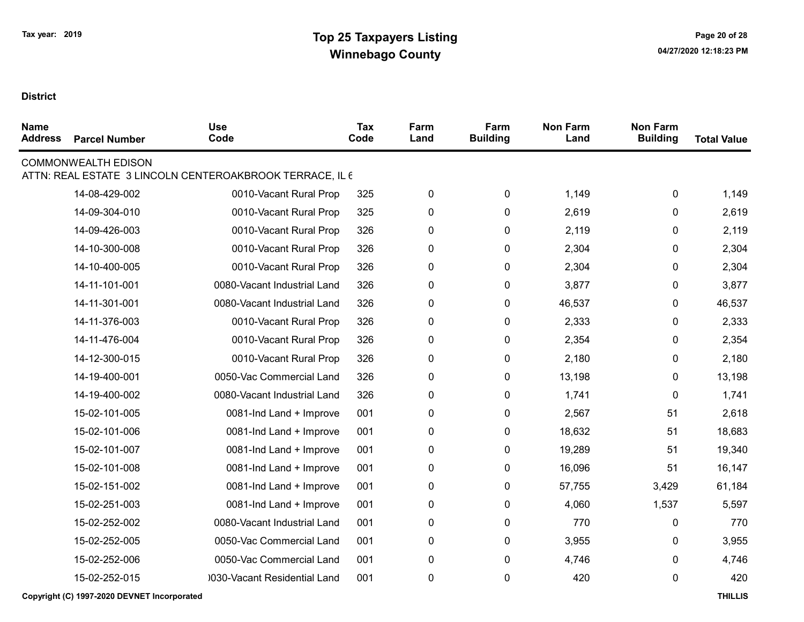| <b>Name</b><br><b>Address</b> | <b>Parcel Number</b>       | <b>Use</b><br>Code                                       | <b>Tax</b><br>Code | Farm<br>Land | Farm<br><b>Building</b> | <b>Non Farm</b><br>Land | <b>Non Farm</b><br><b>Building</b> | <b>Total Value</b> |
|-------------------------------|----------------------------|----------------------------------------------------------|--------------------|--------------|-------------------------|-------------------------|------------------------------------|--------------------|
|                               | <b>COMMONWEALTH EDISON</b> | ATTN: REAL ESTATE 3 LINCOLN CENTEROAKBROOK TERRACE, IL 6 |                    |              |                         |                         |                                    |                    |
|                               | 14-08-429-002              | 0010-Vacant Rural Prop                                   | 325                | 0            | 0                       | 1,149                   | 0                                  | 1,149              |
|                               | 14-09-304-010              | 0010-Vacant Rural Prop                                   | 325                | 0            | 0                       | 2,619                   | 0                                  | 2,619              |
|                               | 14-09-426-003              | 0010-Vacant Rural Prop                                   | 326                | 0            | $\pmb{0}$               | 2,119                   | 0                                  | 2,119              |
|                               | 14-10-300-008              | 0010-Vacant Rural Prop                                   | 326                | 0            | 0                       | 2,304                   | 0                                  | 2,304              |
|                               | 14-10-400-005              | 0010-Vacant Rural Prop                                   | 326                | 0            | 0                       | 2,304                   | 0                                  | 2,304              |
|                               | 14-11-101-001              | 0080-Vacant Industrial Land                              | 326                | $\pmb{0}$    | 0                       | 3,877                   | 0                                  | 3,877              |
|                               | 14-11-301-001              | 0080-Vacant Industrial Land                              | 326                | 0            | 0                       | 46,537                  | 0                                  | 46,537             |
|                               | 14-11-376-003              | 0010-Vacant Rural Prop                                   | 326                | 0            | $\pmb{0}$               | 2,333                   | 0                                  | 2,333              |
|                               | 14-11-476-004              | 0010-Vacant Rural Prop                                   | 326                | 0            | 0                       | 2,354                   | 0                                  | 2,354              |
|                               | 14-12-300-015              | 0010-Vacant Rural Prop                                   | 326                | 0            | 0                       | 2,180                   | 0                                  | 2,180              |
|                               | 14-19-400-001              | 0050-Vac Commercial Land                                 | 326                | $\pmb{0}$    | 0                       | 13,198                  | 0                                  | 13,198             |
|                               | 14-19-400-002              | 0080-Vacant Industrial Land                              | 326                | 0            | 0                       | 1,741                   | 0                                  | 1,741              |
|                               | 15-02-101-005              | 0081-Ind Land + Improve                                  | 001                | $\pmb{0}$    | 0                       | 2,567                   | 51                                 | 2,618              |
|                               | 15-02-101-006              | 0081-Ind Land + Improve                                  | 001                | $\pmb{0}$    | 0                       | 18,632                  | 51                                 | 18,683             |
|                               | 15-02-101-007              | 0081-Ind Land + Improve                                  | 001                | $\pmb{0}$    | 0                       | 19,289                  | 51                                 | 19,340             |
|                               | 15-02-101-008              | 0081-Ind Land + Improve                                  | 001                | $\pmb{0}$    | 0                       | 16,096                  | 51                                 | 16,147             |
|                               | 15-02-151-002              | 0081-Ind Land + Improve                                  | 001                | $\pmb{0}$    | 0                       | 57,755                  | 3,429                              | 61,184             |
|                               | 15-02-251-003              | 0081-Ind Land + Improve                                  | 001                | 0            | 0                       | 4,060                   | 1,537                              | 5,597              |
|                               | 15-02-252-002              | 0080-Vacant Industrial Land                              | 001                | $\pmb{0}$    | $\pmb{0}$               | 770                     | 0                                  | 770                |
|                               | 15-02-252-005              | 0050-Vac Commercial Land                                 | 001                | 0            | 0                       | 3,955                   | 0                                  | 3,955              |
|                               | 15-02-252-006              | 0050-Vac Commercial Land                                 | 001                | 0            | 0                       | 4,746                   | 0                                  | 4,746              |
|                               | 15-02-252-015              | 0030-Vacant Residential Land                             | 001                | 0            | 0                       | 420                     | 0                                  | 420                |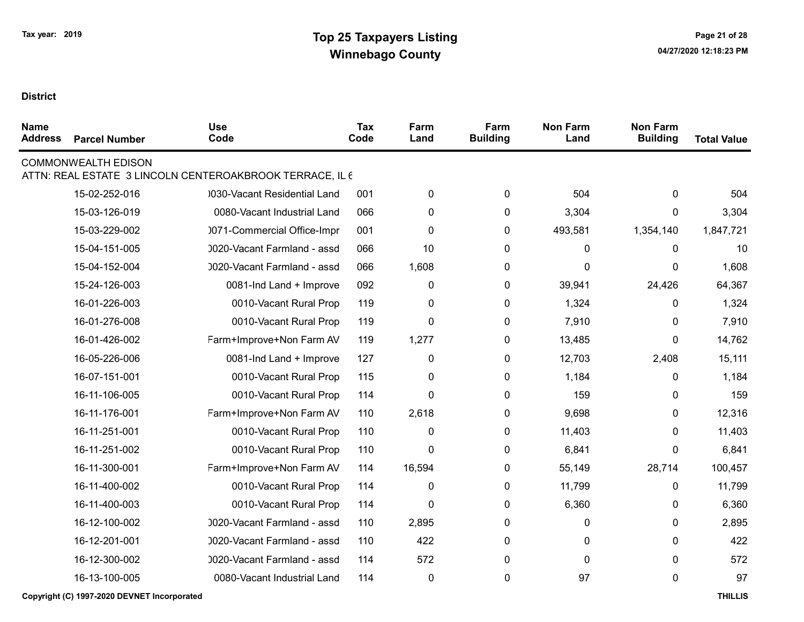| <b>Name</b><br><b>Address</b> | <b>Parcel Number</b>       | <b>Use</b><br>Code                                       | <b>Tax</b><br>Code | Farm<br>Land | Farm<br><b>Building</b> | <b>Non Farm</b><br>Land | <b>Non Farm</b><br><b>Building</b> | <b>Total Value</b> |
|-------------------------------|----------------------------|----------------------------------------------------------|--------------------|--------------|-------------------------|-------------------------|------------------------------------|--------------------|
|                               | <b>COMMONWEALTH EDISON</b> | ATTN: REAL ESTATE 3 LINCOLN CENTEROAKBROOK TERRACE, IL 6 |                    |              |                         |                         |                                    |                    |
|                               | 15-02-252-016              | 0030-Vacant Residential Land                             | 001                |              | 0                       | 504                     | 0                                  | 504                |
|                               |                            |                                                          |                    | 0            |                         |                         |                                    |                    |
|                               | 15-03-126-019              | 0080-Vacant Industrial Land                              | 066                | 0            | 0                       | 3,304                   | 0                                  | 3,304              |
|                               | 15-03-229-002              | 0071-Commercial Office-Impr                              | 001                | 0            | 0                       | 493,581                 | 1,354,140                          | 1,847,721          |
|                               | 15-04-151-005              | 0020-Vacant Farmland - assd                              | 066                | 10           | 0                       | 0                       | 0                                  | 10                 |
|                               | 15-04-152-004              | 0020-Vacant Farmland - assd                              | 066                | 1,608        | 0                       | 0                       | 0                                  | 1,608              |
|                               | 15-24-126-003              | 0081-Ind Land + Improve                                  | 092                | 0            | 0                       | 39,941                  | 24,426                             | 64,367             |
|                               | 16-01-226-003              | 0010-Vacant Rural Prop                                   | 119                | $\pmb{0}$    | 0                       | 1,324                   | 0                                  | 1,324              |
|                               | 16-01-276-008              | 0010-Vacant Rural Prop                                   | 119                | $\mathbf 0$  | 0                       | 7,910                   | 0                                  | 7,910              |
|                               | 16-01-426-002              | Farm+Improve+Non Farm AV                                 | 119                | 1,277        | 0                       | 13,485                  | 0                                  | 14,762             |
|                               | 16-05-226-006              | 0081-Ind Land + Improve                                  | 127                | $\pmb{0}$    | 0                       | 12,703                  | 2,408                              | 15,111             |
|                               | 16-07-151-001              | 0010-Vacant Rural Prop                                   | 115                | 0            | 0                       | 1,184                   | 0                                  | 1,184              |
|                               | 16-11-106-005              | 0010-Vacant Rural Prop                                   | 114                | 0            | 0                       | 159                     | 0                                  | 159                |
|                               | 16-11-176-001              | Farm+Improve+Non Farm AV                                 | 110                | 2,618        | 0                       | 9,698                   | 0                                  | 12,316             |
|                               | 16-11-251-001              | 0010-Vacant Rural Prop                                   | 110                | 0            | 0                       | 11,403                  | 0                                  | 11,403             |
|                               | 16-11-251-002              | 0010-Vacant Rural Prop                                   | 110                | $\mathbf 0$  | 0                       | 6,841                   | 0                                  | 6,841              |
|                               | 16-11-300-001              | Farm+Improve+Non Farm AV                                 | 114                | 16,594       | 0                       | 55,149                  | 28,714                             | 100,457            |
|                               | 16-11-400-002              | 0010-Vacant Rural Prop                                   | 114                | $\mathbf 0$  | 0                       | 11,799                  | 0                                  | 11,799             |
|                               | 16-11-400-003              | 0010-Vacant Rural Prop                                   | 114                | $\pmb{0}$    | 0                       | 6,360                   | 0                                  | 6,360              |
|                               | 16-12-100-002              | 0020-Vacant Farmland - assd                              | 110                | 2,895        | 0                       | 0                       | 0                                  | 2,895              |
|                               | 16-12-201-001              | 0020-Vacant Farmland - assd                              | 110                | 422          | 0                       | 0                       | 0                                  | 422                |
|                               | 16-12-300-002              | 0020-Vacant Farmland - assd                              | 114                | 572          | 0                       | 0                       | 0                                  | 572                |
|                               | 16-13-100-005              | 0080-Vacant Industrial Land                              | 114                | $\pmb{0}$    | $\mathbf 0$             | 97                      | 0                                  | 97                 |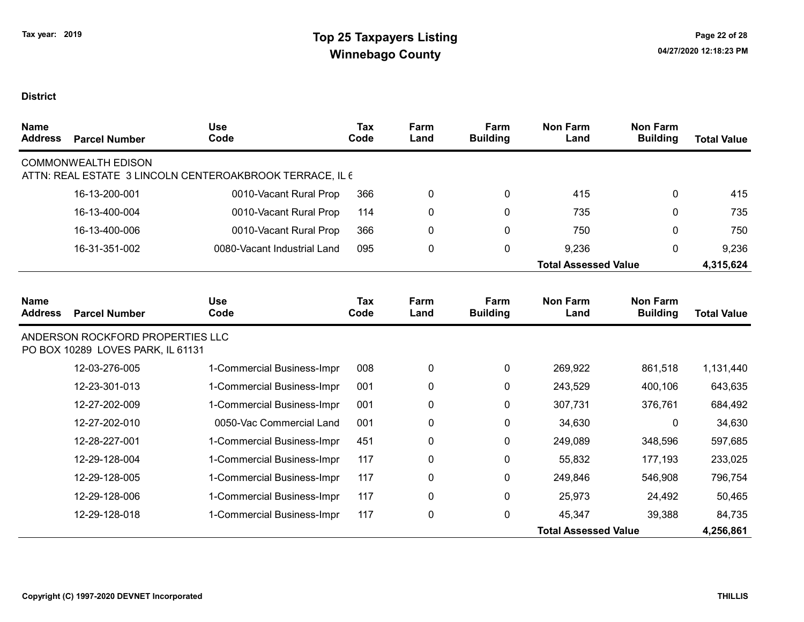| <b>Name</b><br><b>Address</b> | <b>Parcel Number</b>                                                  | <b>Use</b><br>Code                                       | <b>Tax</b><br>Code | Farm<br>Land | Farm<br><b>Building</b> | <b>Non Farm</b><br>Land     | <b>Non Farm</b><br><b>Building</b> | <b>Total Value</b> |
|-------------------------------|-----------------------------------------------------------------------|----------------------------------------------------------|--------------------|--------------|-------------------------|-----------------------------|------------------------------------|--------------------|
|                               | <b>COMMONWEALTH EDISON</b>                                            | ATTN: REAL ESTATE 3 LINCOLN CENTEROAKBROOK TERRACE, IL 6 |                    |              |                         |                             |                                    |                    |
|                               | 16-13-200-001                                                         | 0010-Vacant Rural Prop                                   | 366                | 0            | $\mathbf{0}$            | 415                         | 0                                  | 415                |
|                               | 16-13-400-004                                                         | 0010-Vacant Rural Prop                                   | 114                | 0            | $\mathbf{0}$            | 735                         | 0                                  | 735                |
|                               | 16-13-400-006                                                         | 0010-Vacant Rural Prop                                   | 366                | 0            | 0                       | 750                         | 0                                  | 750                |
|                               | 16-31-351-002                                                         | 0080-Vacant Industrial Land                              | 095                | 0            | 0                       | 9,236                       | 0                                  | 9,236              |
|                               |                                                                       |                                                          |                    |              |                         | <b>Total Assessed Value</b> |                                    | 4,315,624          |
|                               |                                                                       |                                                          |                    |              |                         |                             |                                    |                    |
| <b>Name</b><br><b>Address</b> | <b>Parcel Number</b>                                                  | <b>Use</b><br>Code                                       | Tax<br>Code        | Farm<br>Land | Farm<br><b>Building</b> | <b>Non Farm</b><br>Land     | <b>Non Farm</b><br><b>Building</b> | <b>Total Value</b> |
|                               | ANDERSON ROCKFORD PROPERTIES LLC<br>PO BOX 10289 LOVES PARK, IL 61131 |                                                          |                    |              |                         |                             |                                    |                    |
|                               | 12-03-276-005                                                         | 1-Commercial Business-Impr                               | 008                | 0            | 0                       | 269,922                     | 861,518                            | 1,131,440          |
|                               | 12-23-301-013                                                         | 1-Commercial Business-Impr                               | 001                | 0            | 0                       | 243,529                     | 400,106                            | 643,635            |
|                               | 12-27-202-009                                                         | 1-Commercial Business-Impr                               | 001                | 0            | 0                       | 307,731                     | 376,761                            | 684,492            |
|                               | 12-27-202-010                                                         | 0050-Vac Commercial Land                                 | 001                | 0            | 0                       | 34,630                      | $\mathbf{0}$                       | 34,630             |
|                               | 12-28-227-001                                                         | 1-Commercial Business-Impr                               | 451                | 0            | 0                       | 249,089                     | 348,596                            | 597,685            |
|                               | 12-29-128-004                                                         | 1-Commercial Business-Impr                               | 117                | 0            | 0                       | 55,832                      | 177,193                            | 233,025            |
|                               | 12-29-128-005                                                         | 1-Commercial Business-Impr                               | 117                | 0            | 0                       | 249,846                     | 546,908                            | 796,754            |
|                               | 12-29-128-006                                                         | 1-Commercial Business-Impr                               | 117                | 0            | 0                       | 25,973                      | 24,492                             | 50,465             |
|                               | 12-29-128-018                                                         | 1-Commercial Business-Impr                               | 117                | 0            | 0                       | 45,347                      | 39,388                             | 84,735             |
|                               |                                                                       |                                                          |                    |              |                         | <b>Total Assessed Value</b> |                                    | 4,256,861          |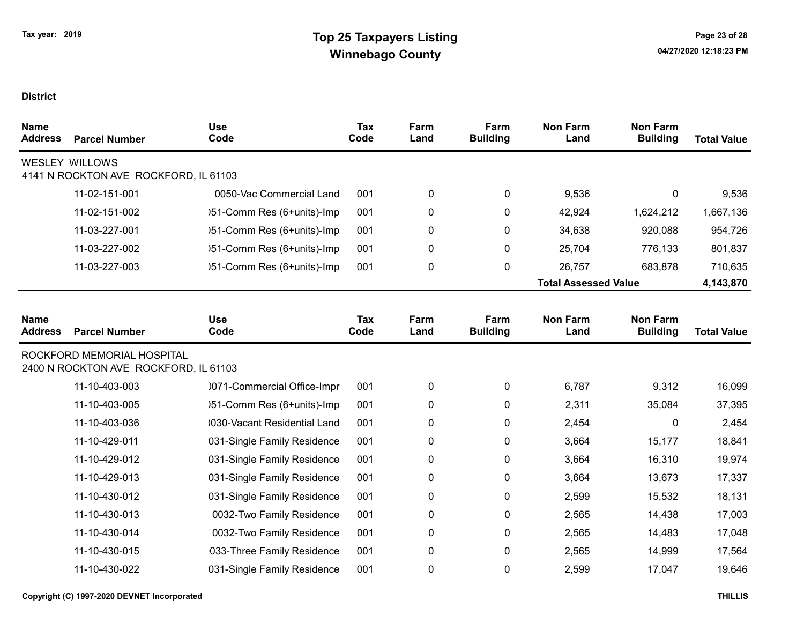| <b>Name</b><br><b>Address</b> | <b>Parcel Number</b>                                                | <b>Use</b><br>Code                 | Tax<br>Code | Farm<br>Land | Farm<br><b>Building</b> | <b>Non Farm</b><br>Land     | <b>Non Farm</b><br><b>Building</b> | <b>Total Value</b> |
|-------------------------------|---------------------------------------------------------------------|------------------------------------|-------------|--------------|-------------------------|-----------------------------|------------------------------------|--------------------|
|                               | <b>WESLEY WILLOWS</b><br>4141 N ROCKTON AVE ROCKFORD, IL 61103      |                                    |             |              |                         |                             |                                    |                    |
|                               | 11-02-151-001                                                       | 0050-Vac Commercial Land           | 001         | 0            | 0                       | 9,536                       | 0                                  | 9,536              |
|                               | 11-02-151-002                                                       | )51-Comm Res (6+units)-Imp         | 001         | 0            | 0                       | 42,924                      | 1,624,212                          | 1,667,136          |
|                               | 11-03-227-001                                                       | )51-Comm Res (6+units)-Imp         | 001         | 0            | 0                       | 34,638                      | 920,088                            | 954,726            |
|                               | 11-03-227-002                                                       | )51-Comm Res (6+units)-Imp         | 001         | 0            | 0                       | 25,704                      | 776,133                            | 801,837            |
|                               | 11-03-227-003                                                       | )51-Comm Res (6+units)-Imp         | 001         | 0            | 0                       | 26,757                      | 683,878                            | 710,635            |
|                               |                                                                     |                                    |             |              |                         | <b>Total Assessed Value</b> |                                    | 4,143,870          |
|                               |                                                                     |                                    |             |              |                         |                             |                                    |                    |
| <b>Name</b><br><b>Address</b> | <b>Parcel Number</b>                                                | <b>Use</b><br>Code                 | Tax<br>Code | Farm<br>Land | Farm<br><b>Building</b> | <b>Non Farm</b><br>Land     | <b>Non Farm</b><br><b>Building</b> | <b>Total Value</b> |
|                               | ROCKFORD MEMORIAL HOSPITAL<br>2400 N ROCKTON AVE ROCKFORD, IL 61103 |                                    |             |              |                         |                             |                                    |                    |
|                               | 11-10-403-003                                                       | 0071-Commercial Office-Impr        | 001         | 0            | 0                       | 6,787                       | 9,312                              | 16,099             |
|                               | 11-10-403-005                                                       | )51-Comm Res (6+units)-Imp         | 001         | 0            | 0                       | 2,311                       | 35,084                             | 37,395             |
|                               | 11-10-403-036                                                       | 0030-Vacant Residential Land       | 001         | 0            | 0                       | 2,454                       | 0                                  | 2,454              |
|                               | 11-10-429-011                                                       | 031-Single Family Residence        | 001         | 0            | 0                       | 3,664                       | 15,177                             | 18,841             |
|                               | 11-10-429-012                                                       | 031-Single Family Residence        | 001         | 0            | 0                       | 3,664                       | 16,310                             | 19,974             |
|                               | 11-10-429-013                                                       | 031-Single Family Residence        | 001         | 0            | 0                       | 3,664                       | 13,673                             | 17,337             |
|                               | 11-10-430-012                                                       | 031-Single Family Residence        | 001         | 0            | 0                       | 2,599                       | 15,532                             | 18,131             |
|                               | 11-10-430-013                                                       | 0032-Two Family Residence          | 001         | $\pmb{0}$    | 0                       | 2,565                       | 14,438                             | 17,003             |
|                               | 11-10-430-014                                                       | 0032-Two Family Residence          | 001         | $\pmb{0}$    | 0                       | 2,565                       | 14,483                             | 17,048             |
|                               | 11-10-430-015                                                       | <b>1033-Three Family Residence</b> | 001         | 0            | 0                       | 2,565                       | 14,999                             | 17,564             |
|                               | 11-10-430-022                                                       | 031-Single Family Residence        | 001         | $\pmb{0}$    | 0                       | 2,599                       | 17,047                             | 19,646             |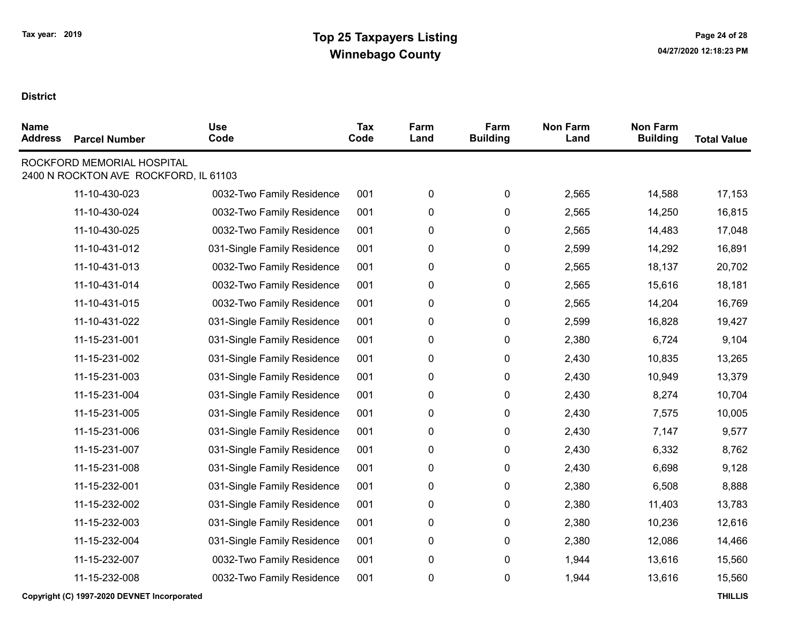| <b>Name</b><br><b>Address</b> | <b>Parcel Number</b>                                                | <b>Use</b><br>Code          | Tax<br>Code | Farm<br>Land | Farm<br><b>Building</b> | <b>Non Farm</b><br>Land | <b>Non Farm</b><br><b>Building</b> | <b>Total Value</b> |
|-------------------------------|---------------------------------------------------------------------|-----------------------------|-------------|--------------|-------------------------|-------------------------|------------------------------------|--------------------|
|                               | ROCKFORD MEMORIAL HOSPITAL<br>2400 N ROCKTON AVE ROCKFORD, IL 61103 |                             |             |              |                         |                         |                                    |                    |
|                               | 11-10-430-023                                                       | 0032-Two Family Residence   | 001         | $\pmb{0}$    | $\pmb{0}$               | 2,565                   | 14,588                             | 17,153             |
|                               | 11-10-430-024                                                       | 0032-Two Family Residence   | 001         | 0            | 0                       | 2,565                   | 14,250                             | 16,815             |
|                               | 11-10-430-025                                                       | 0032-Two Family Residence   | 001         | 0            | 0                       | 2,565                   | 14,483                             | 17,048             |
|                               | 11-10-431-012                                                       | 031-Single Family Residence | 001         | 0            | 0                       | 2,599                   | 14,292                             | 16,891             |
|                               | 11-10-431-013                                                       | 0032-Two Family Residence   | 001         | 0            | 0                       | 2,565                   | 18,137                             | 20,702             |
|                               | 11-10-431-014                                                       | 0032-Two Family Residence   | 001         | 0            | 0                       | 2,565                   | 15,616                             | 18,181             |
|                               | 11-10-431-015                                                       | 0032-Two Family Residence   | 001         | $\pmb{0}$    | 0                       | 2,565                   | 14,204                             | 16,769             |
|                               | 11-10-431-022                                                       | 031-Single Family Residence | 001         | 0            | 0                       | 2,599                   | 16,828                             | 19,427             |
|                               | 11-15-231-001                                                       | 031-Single Family Residence | 001         | 0            | 0                       | 2,380                   | 6,724                              | 9,104              |
|                               | 11-15-231-002                                                       | 031-Single Family Residence | 001         | 0            | 0                       | 2,430                   | 10,835                             | 13,265             |
|                               | 11-15-231-003                                                       | 031-Single Family Residence | 001         | 0            | 0                       | 2,430                   | 10,949                             | 13,379             |
|                               | 11-15-231-004                                                       | 031-Single Family Residence | 001         | $\pmb{0}$    | 0                       | 2,430                   | 8,274                              | 10,704             |
|                               | 11-15-231-005                                                       | 031-Single Family Residence | 001         | 0            | 0                       | 2,430                   | 7,575                              | 10,005             |
|                               | 11-15-231-006                                                       | 031-Single Family Residence | 001         | 0            | 0                       | 2,430                   | 7,147                              | 9,577              |
|                               | 11-15-231-007                                                       | 031-Single Family Residence | 001         | 0            | 0                       | 2,430                   | 6,332                              | 8,762              |
|                               | 11-15-231-008                                                       | 031-Single Family Residence | 001         | 0            | 0                       | 2,430                   | 6,698                              | 9,128              |
|                               | 11-15-232-001                                                       | 031-Single Family Residence | 001         | 0            | 0                       | 2,380                   | 6,508                              | 8,888              |
|                               | 11-15-232-002                                                       | 031-Single Family Residence | 001         | 0            | 0                       | 2,380                   | 11,403                             | 13,783             |
|                               | 11-15-232-003                                                       | 031-Single Family Residence | 001         | 0            | 0                       | 2,380                   | 10,236                             | 12,616             |
|                               | 11-15-232-004                                                       | 031-Single Family Residence | 001         | 0            | 0                       | 2,380                   | 12,086                             | 14,466             |
|                               | 11-15-232-007                                                       | 0032-Two Family Residence   | 001         | 0            | 0                       | 1,944                   | 13,616                             | 15,560             |
|                               | 11-15-232-008                                                       | 0032-Two Family Residence   | 001         | $\pmb{0}$    | 0                       | 1,944                   | 13,616                             | 15,560             |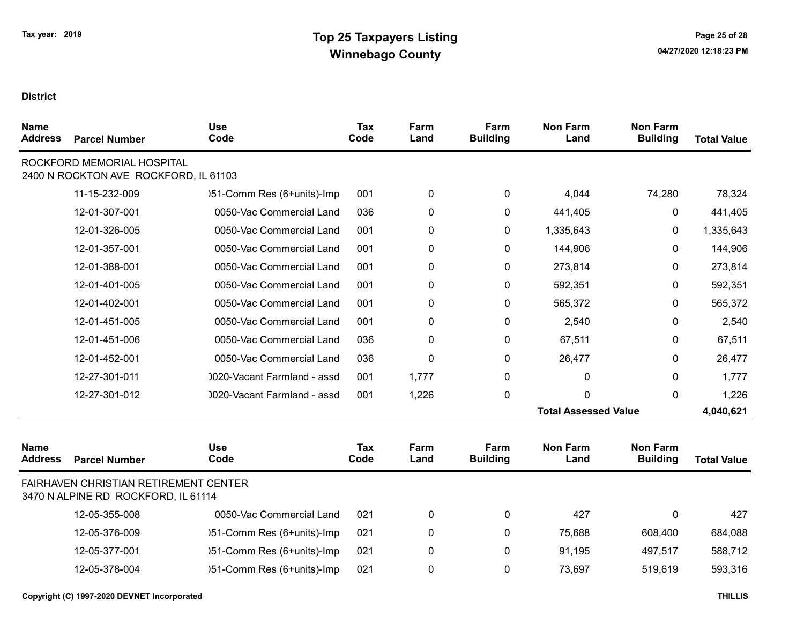| <b>Name</b><br><b>Address</b> | <b>Parcel Number</b>                                                         | <b>Use</b><br>Code          | <b>Tax</b><br>Code | Farm<br>Land | Farm<br><b>Building</b> | <b>Non Farm</b><br>Land     | <b>Non Farm</b><br><b>Building</b> | <b>Total Value</b> |
|-------------------------------|------------------------------------------------------------------------------|-----------------------------|--------------------|--------------|-------------------------|-----------------------------|------------------------------------|--------------------|
|                               | ROCKFORD MEMORIAL HOSPITAL<br>2400 N ROCKTON AVE ROCKFORD, IL 61103          |                             |                    |              |                         |                             |                                    |                    |
|                               | 11-15-232-009                                                                | )51-Comm Res (6+units)-Imp  | 001                | 0            | 0                       | 4,044                       | 74,280                             | 78,324             |
|                               | 12-01-307-001                                                                | 0050-Vac Commercial Land    | 036                | 0            | 0                       | 441,405                     | 0                                  | 441,405            |
|                               | 12-01-326-005                                                                | 0050-Vac Commercial Land    | 001                | 0            | 0                       | 1,335,643                   | 0                                  | 1,335,643          |
|                               | 12-01-357-001                                                                | 0050-Vac Commercial Land    | 001                | 0            | 0                       | 144,906                     | 0                                  | 144,906            |
|                               | 12-01-388-001                                                                | 0050-Vac Commercial Land    | 001                | 0            | 0                       | 273,814                     | 0                                  | 273,814            |
|                               | 12-01-401-005                                                                | 0050-Vac Commercial Land    | 001                | 0            | 0                       | 592,351                     | 0                                  | 592,351            |
|                               | 12-01-402-001                                                                | 0050-Vac Commercial Land    | 001                | 0            | 0                       | 565,372                     | 0                                  | 565,372            |
|                               | 12-01-451-005                                                                | 0050-Vac Commercial Land    | 001                | 0            | 0                       | 2,540                       | 0                                  | 2,540              |
|                               | 12-01-451-006                                                                | 0050-Vac Commercial Land    | 036                | 0            | 0                       | 67,511                      | 0                                  | 67,511             |
|                               | 12-01-452-001                                                                | 0050-Vac Commercial Land    | 036                | 0            | 0                       | 26,477                      | 0                                  | 26,477             |
|                               | 12-27-301-011                                                                | 0020-Vacant Farmland - assd | 001                | 1,777        | 0                       | 0                           | 0                                  | 1,777              |
|                               | 12-27-301-012                                                                | 0020-Vacant Farmland - assd | 001                | 1,226        | 0                       | 0                           | 0                                  | 1,226              |
|                               |                                                                              |                             |                    |              |                         | <b>Total Assessed Value</b> |                                    | 4,040,621          |
| <b>Name</b><br><b>Address</b> | <b>Parcel Number</b>                                                         | <b>Use</b><br>Code          | <b>Tax</b><br>Code | Farm<br>Land | Farm<br><b>Building</b> | <b>Non Farm</b><br>Land     | <b>Non Farm</b><br><b>Building</b> | <b>Total Value</b> |
|                               | FAIRHAVEN CHRISTIAN RETIREMENT CENTER<br>3470 N ALPINE RD ROCKFORD, IL 61114 |                             |                    |              |                         |                             |                                    |                    |
|                               | 12-05-355-008                                                                | 0050-Vac Commercial Land    | 021                | 0            | 0                       | 427                         | 0                                  | 427                |
|                               | 12-05-376-009                                                                | )51-Comm Res (6+units)-Imp  | 021                | 0            | 0                       | 75,688                      | 608,400                            | 684,088            |
|                               | 12-05-377-001                                                                | )51-Comm Res (6+units)-Imp  | 021                | 0            | 0                       | 91,195                      | 497,517                            | 588,712            |
|                               | 12-05-378-004                                                                | )51-Comm Res (6+units)-Imp  | 021                | 0            | $\mathbf{0}$            | 73,697                      | 519,619                            | 593,316            |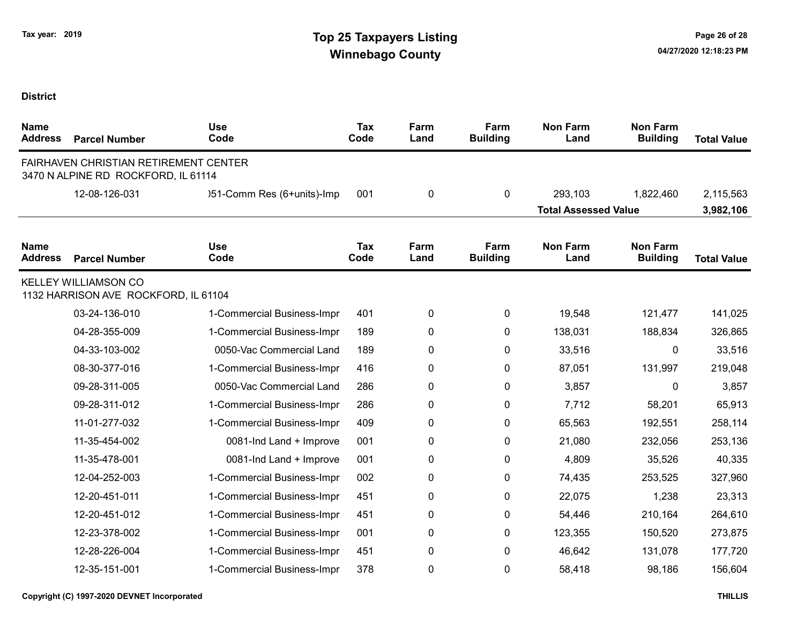| <b>Name</b><br><b>Address</b> | <b>Parcel Number</b>                                                         | <b>Use</b><br>Code         | <b>Tax</b><br>Code | Farm<br>Land | Farm<br><b>Building</b> | <b>Non Farm</b><br>Land     | <b>Non Farm</b><br><b>Building</b> | <b>Total Value</b> |
|-------------------------------|------------------------------------------------------------------------------|----------------------------|--------------------|--------------|-------------------------|-----------------------------|------------------------------------|--------------------|
|                               | FAIRHAVEN CHRISTIAN RETIREMENT CENTER<br>3470 N ALPINE RD ROCKFORD, IL 61114 |                            |                    |              |                         |                             |                                    |                    |
|                               | 12-08-126-031                                                                | )51-Comm Res (6+units)-Imp | 001                | 0            | $\mathbf 0$             | 293,103                     | 1,822,460                          | 2,115,563          |
|                               |                                                                              |                            |                    |              |                         | <b>Total Assessed Value</b> |                                    | 3,982,106          |
| <b>Name</b><br><b>Address</b> | <b>Parcel Number</b>                                                         | <b>Use</b><br>Code         | <b>Tax</b><br>Code | Farm<br>Land | Farm<br><b>Building</b> | <b>Non Farm</b><br>Land     | <b>Non Farm</b><br><b>Building</b> | <b>Total Value</b> |
|                               | <b>KELLEY WILLIAMSON CO</b><br>1132 HARRISON AVE ROCKFORD, IL 61104          |                            |                    |              |                         |                             |                                    |                    |
|                               | 03-24-136-010                                                                | 1-Commercial Business-Impr | 401                | $\pmb{0}$    | 0                       | 19,548                      | 121,477                            | 141,025            |
|                               | 04-28-355-009                                                                | 1-Commercial Business-Impr | 189                | $\pmb{0}$    | 0                       | 138,031                     | 188,834                            | 326,865            |
|                               | 04-33-103-002                                                                | 0050-Vac Commercial Land   | 189                | 0            | 0                       | 33,516                      | $\mathbf 0$                        | 33,516             |
|                               | 08-30-377-016                                                                | 1-Commercial Business-Impr | 416                | $\pmb{0}$    | $\pmb{0}$               | 87,051                      | 131,997                            | 219,048            |
|                               | 09-28-311-005                                                                | 0050-Vac Commercial Land   | 286                | $\pmb{0}$    | 0                       | 3,857                       | $\mathbf 0$                        | 3,857              |
|                               | 09-28-311-012                                                                | 1-Commercial Business-Impr | 286                | $\pmb{0}$    | $\mathbf 0$             | 7,712                       | 58,201                             | 65,913             |
|                               | 11-01-277-032                                                                | 1-Commercial Business-Impr | 409                | 0            | $\pmb{0}$               | 65,563                      | 192,551                            | 258,114            |
|                               | 11-35-454-002                                                                | 0081-Ind Land + Improve    | 001                | 0            | $\mathbf 0$             | 21,080                      | 232,056                            | 253,136            |
|                               | 11-35-478-001                                                                | 0081-Ind Land + Improve    | 001                | 0            | $\mathbf 0$             | 4,809                       | 35,526                             | 40,335             |
|                               | 12-04-252-003                                                                | 1-Commercial Business-Impr | 002                | 0            | 0                       | 74,435                      | 253,525                            | 327,960            |
|                               | 12-20-451-011                                                                | 1-Commercial Business-Impr | 451                | 0            | 0                       | 22,075                      | 1,238                              | 23,313             |
|                               | 12-20-451-012                                                                | 1-Commercial Business-Impr | 451                | 0            | 0                       | 54,446                      | 210,164                            | 264,610            |
|                               | 12-23-378-002                                                                | 1-Commercial Business-Impr | 001                | 0            | 0                       | 123,355                     | 150,520                            | 273,875            |
|                               | 12-28-226-004                                                                | 1-Commercial Business-Impr | 451                | 0            | 0                       | 46,642                      | 131,078                            | 177,720            |
|                               | 12-35-151-001                                                                | 1-Commercial Business-Impr | 378                | 0            | 0                       | 58,418                      | 98,186                             | 156,604            |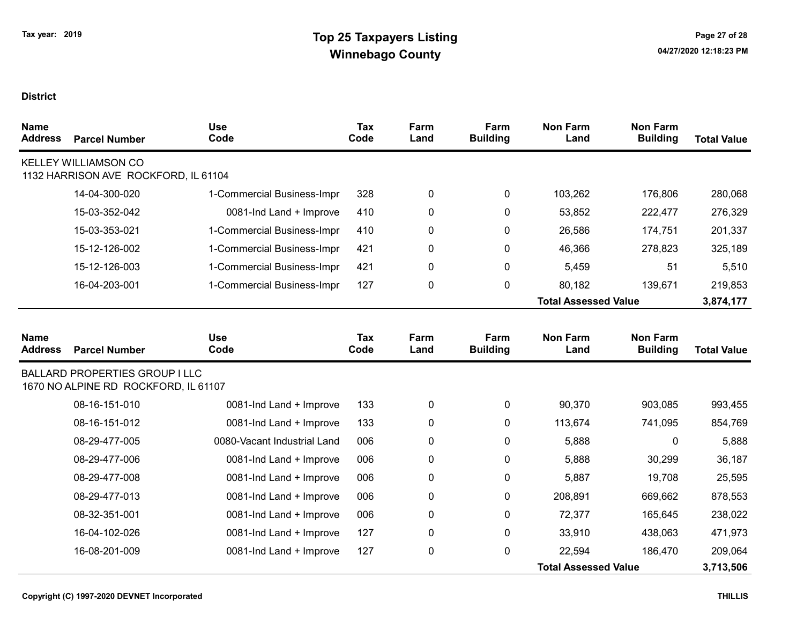| <b>Name</b><br><b>Address</b> | <b>Parcel Number</b>                                                          | <b>Use</b><br>Code          | <b>Tax</b><br>Code | Farm<br>Land | Farm<br><b>Building</b> | <b>Non Farm</b><br>Land     | <b>Non Farm</b><br><b>Building</b> | <b>Total Value</b> |
|-------------------------------|-------------------------------------------------------------------------------|-----------------------------|--------------------|--------------|-------------------------|-----------------------------|------------------------------------|--------------------|
|                               | <b>KELLEY WILLIAMSON CO</b><br>1132 HARRISON AVE ROCKFORD, IL 61104           |                             |                    |              |                         |                             |                                    |                    |
|                               | 14-04-300-020                                                                 | 1-Commercial Business-Impr  | 328                | 0            | 0                       | 103,262                     | 176,806                            | 280,068            |
|                               | 15-03-352-042                                                                 | 0081-Ind Land + Improve     | 410                | 0            | 0                       | 53,852                      | 222,477                            | 276,329            |
|                               | 15-03-353-021                                                                 | 1-Commercial Business-Impr  | 410                | 0            | 0                       | 26,586                      | 174,751                            | 201,337            |
|                               | 15-12-126-002                                                                 | 1-Commercial Business-Impr  | 421                | 0            | 0                       | 46,366                      | 278,823                            | 325,189            |
|                               | 15-12-126-003                                                                 | 1-Commercial Business-Impr  | 421                | 0            | 0                       | 5,459                       | 51                                 | 5,510              |
|                               | 16-04-203-001                                                                 | 1-Commercial Business-Impr  | 127                | 0            | 0                       | 80,182                      | 139,671                            | 219,853            |
|                               |                                                                               |                             |                    |              |                         | <b>Total Assessed Value</b> |                                    | 3,874,177          |
|                               |                                                                               |                             |                    |              |                         |                             |                                    |                    |
| <b>Name</b><br><b>Address</b> | <b>Parcel Number</b>                                                          | <b>Use</b><br>Code          | Tax<br>Code        | Farm<br>Land | Farm<br><b>Building</b> | <b>Non Farm</b><br>Land     | <b>Non Farm</b><br><b>Building</b> | <b>Total Value</b> |
|                               | <b>BALLARD PROPERTIES GROUP I LLC</b><br>1670 NO ALPINE RD ROCKFORD, IL 61107 |                             |                    |              |                         |                             |                                    |                    |
|                               | 08-16-151-010                                                                 | 0081-Ind Land + Improve     | 133                | 0            | 0                       | 90,370                      | 903,085                            | 993,455            |
|                               | 08-16-151-012                                                                 | 0081-Ind Land + Improve     | 133                | 0            | 0                       | 113,674                     | 741,095                            | 854,769            |
|                               | 08-29-477-005                                                                 | 0080-Vacant Industrial Land | 006                | 0            | 0                       | 5,888                       | 0                                  | 5,888              |
|                               | 08-29-477-006                                                                 | 0081-Ind Land + Improve     | 006                | 0            | 0                       | 5,888                       | 30,299                             | 36,187             |
|                               | 08-29-477-008                                                                 | 0081-Ind Land + Improve     | 006                | 0            | 0                       | 5,887                       | 19,708                             | 25,595             |
|                               | 08-29-477-013                                                                 | 0081-Ind Land + Improve     | 006                | 0            | 0                       | 208,891                     | 669,662                            | 878,553            |
|                               | 08-32-351-001                                                                 | 0081-Ind Land + Improve     | 006                | 0            | 0                       | 72,377                      | 165,645                            | 238,022            |
|                               | 16-04-102-026                                                                 | 0081-Ind Land + Improve     | 127                | 0            | 0                       | 33,910                      | 438,063                            | 471,973            |
|                               | 16-08-201-009                                                                 | 0081-Ind Land + Improve     | 127                | 0            | 0                       | 22,594                      | 186,470                            | 209,064            |
|                               |                                                                               |                             |                    |              |                         | <b>Total Assessed Value</b> |                                    | 3,713,506          |